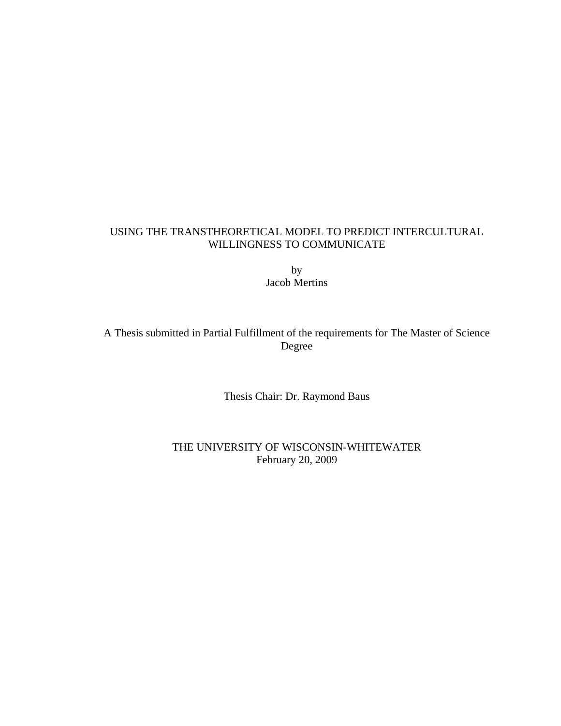### USING THE TRANSTHEORETICAL MODEL TO PREDICT INTERCULTURAL WILLINGNESS TO COMMUNICATE

by Jacob Mertins

A Thesis submitted in Partial Fulfillment of the requirements for The Master of Science Degree

Thesis Chair: Dr. Raymond Baus

THE UNIVERSITY OF WISCONSIN-WHITEWATER February 20, 2009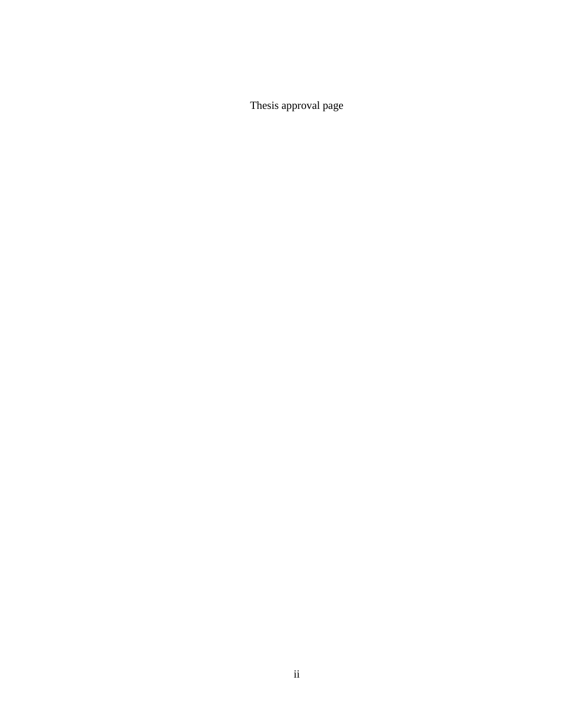Thesis approval page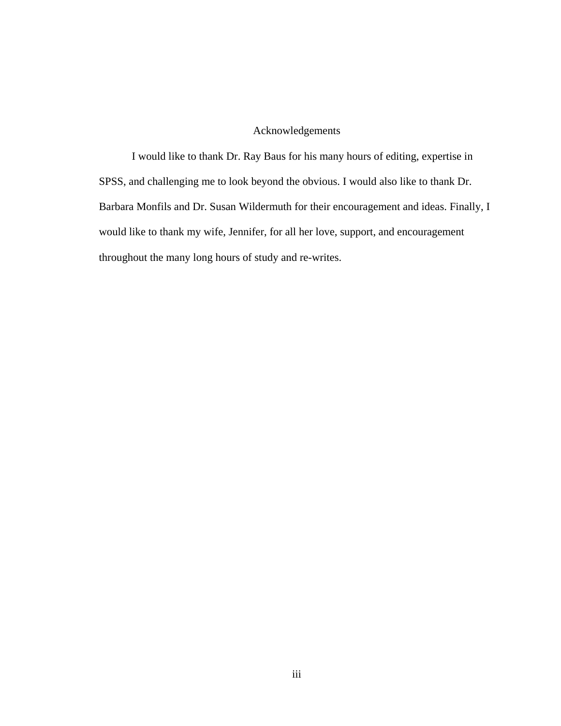### Acknowledgements

I would like to thank Dr. Ray Baus for his many hours of editing, expertise in SPSS, and challenging me to look beyond the obvious. I would also like to thank Dr. Barbara Monfils and Dr. Susan Wildermuth for their encouragement and ideas. Finally, I would like to thank my wife, Jennifer, for all her love, support, and encouragement throughout the many long hours of study and re-writes.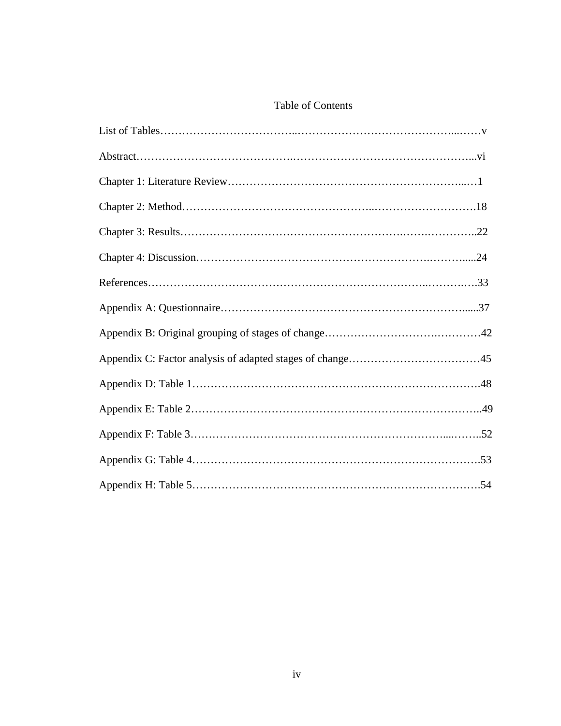### Table of Contents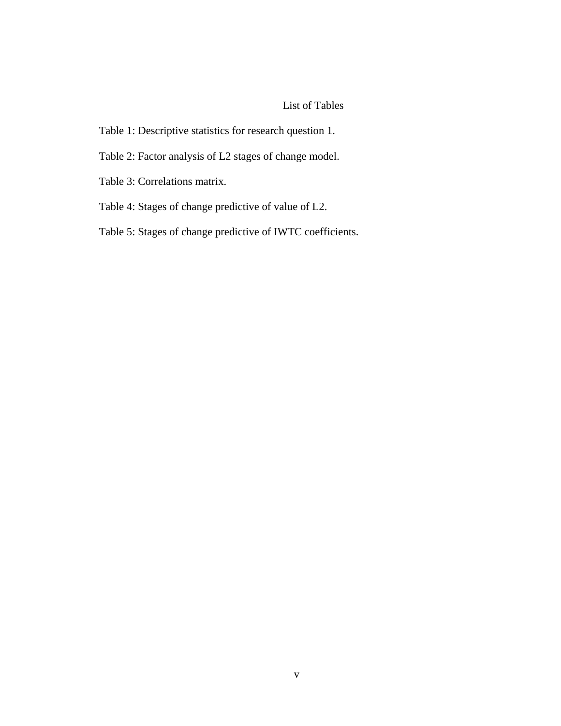### List of Tables

- Table 1: Descriptive statistics for research question 1.
- Table 2: Factor analysis of L2 stages of change model.
- Table 3: Correlations matrix.
- Table 4: Stages of change predictive of value of L2.
- Table 5: Stages of change predictive of IWTC coefficients.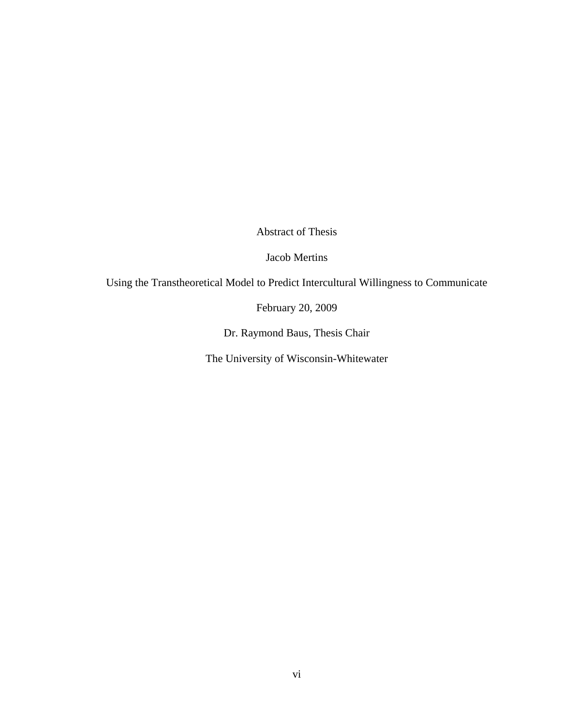Abstract of Thesis

Jacob Mertins

Using the Transtheoretical Model to Predict Intercultural Willingness to Communicate

February 20, 2009

Dr. Raymond Baus, Thesis Chair

The University of Wisconsin-Whitewater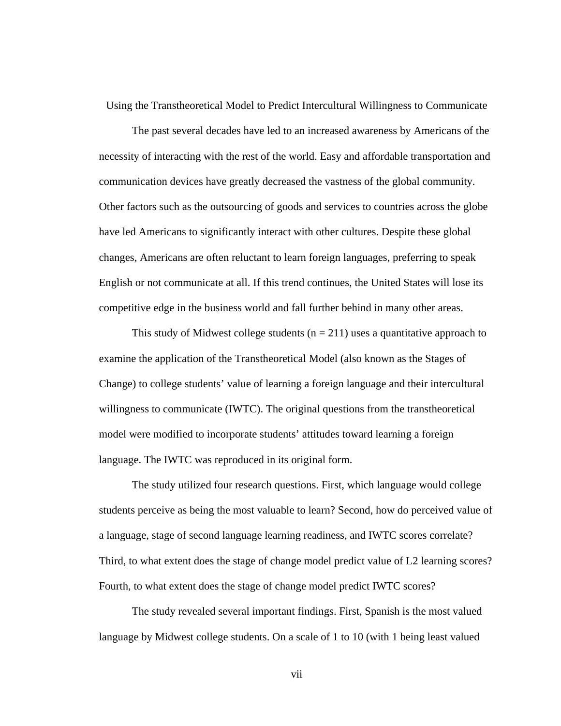Using the Transtheoretical Model to Predict Intercultural Willingness to Communicate

The past several decades have led to an increased awareness by Americans of the necessity of interacting with the rest of the world. Easy and affordable transportation and communication devices have greatly decreased the vastness of the global community. Other factors such as the outsourcing of goods and services to countries across the globe have led Americans to significantly interact with other cultures. Despite these global changes, Americans are often reluctant to learn foreign languages, preferring to speak English or not communicate at all. If this trend continues, the United States will lose its competitive edge in the business world and fall further behind in many other areas.

This study of Midwest college students ( $n = 211$ ) uses a quantitative approach to examine the application of the Transtheoretical Model (also known as the Stages of Change) to college students' value of learning a foreign language and their intercultural willingness to communicate (IWTC). The original questions from the transtheoretical model were modified to incorporate students' attitudes toward learning a foreign language. The IWTC was reproduced in its original form.

The study utilized four research questions. First, which language would college students perceive as being the most valuable to learn? Second, how do perceived value of a language, stage of second language learning readiness, and IWTC scores correlate? Third, to what extent does the stage of change model predict value of L2 learning scores? Fourth, to what extent does the stage of change model predict IWTC scores?

The study revealed several important findings. First, Spanish is the most valued language by Midwest college students. On a scale of 1 to 10 (with 1 being least valued

vii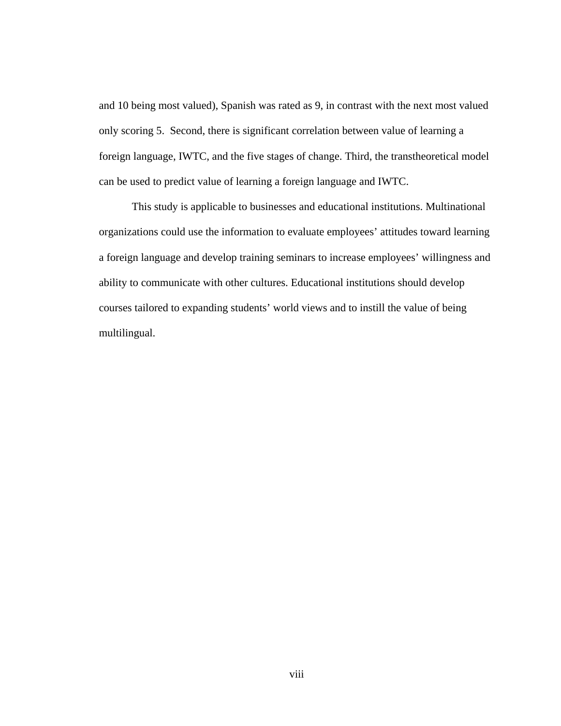and 10 being most valued), Spanish was rated as 9, in contrast with the next most valued only scoring 5. Second, there is significant correlation between value of learning a foreign language, IWTC, and the five stages of change. Third, the transtheoretical model can be used to predict value of learning a foreign language and IWTC.

This study is applicable to businesses and educational institutions. Multinational organizations could use the information to evaluate employees' attitudes toward learning a foreign language and develop training seminars to increase employees' willingness and ability to communicate with other cultures. Educational institutions should develop courses tailored to expanding students' world views and to instill the value of being multilingual.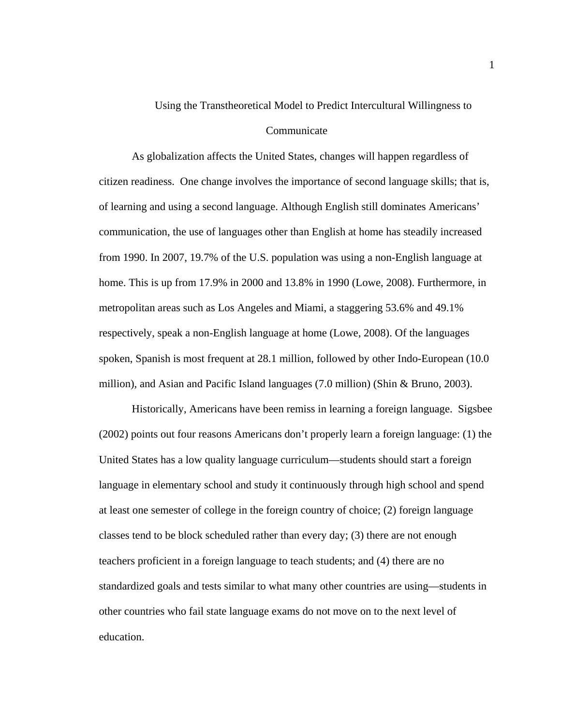# Using the Transtheoretical Model to Predict Intercultural Willingness to

### Communicate

As globalization affects the United States, changes will happen regardless of citizen readiness. One change involves the importance of second language skills; that is, of learning and using a second language. Although English still dominates Americans' communication, the use of languages other than English at home has steadily increased from 1990. In 2007, 19.7% of the U.S. population was using a non-English language at home. This is up from 17.9% in 2000 and 13.8% in 1990 (Lowe, 2008). Furthermore, in metropolitan areas such as Los Angeles and Miami, a staggering 53.6% and 49.1% respectively, speak a non-English language at home (Lowe, 2008). Of the languages spoken, Spanish is most frequent at 28.1 million, followed by other Indo-European (10.0 million), and Asian and Pacific Island languages (7.0 million) (Shin & Bruno, 2003).

Historically, Americans have been remiss in learning a foreign language. Sigsbee (2002) points out four reasons Americans don't properly learn a foreign language: (1) the United States has a low quality language curriculum—students should start a foreign language in elementary school and study it continuously through high school and spend at least one semester of college in the foreign country of choice; (2) foreign language classes tend to be block scheduled rather than every day; (3) there are not enough teachers proficient in a foreign language to teach students; and (4) there are no standardized goals and tests similar to what many other countries are using—students in other countries who fail state language exams do not move on to the next level of education.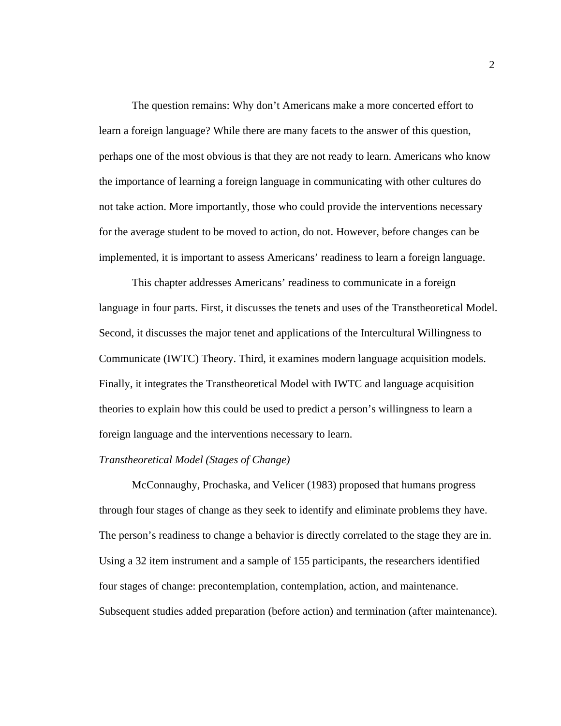The question remains: Why don't Americans make a more concerted effort to learn a foreign language? While there are many facets to the answer of this question, perhaps one of the most obvious is that they are not ready to learn. Americans who know the importance of learning a foreign language in communicating with other cultures do not take action. More importantly, those who could provide the interventions necessary for the average student to be moved to action, do not. However, before changes can be implemented, it is important to assess Americans' readiness to learn a foreign language.

This chapter addresses Americans' readiness to communicate in a foreign language in four parts. First, it discusses the tenets and uses of the Transtheoretical Model. Second, it discusses the major tenet and applications of the Intercultural Willingness to Communicate (IWTC) Theory. Third, it examines modern language acquisition models. Finally, it integrates the Transtheoretical Model with IWTC and language acquisition theories to explain how this could be used to predict a person's willingness to learn a foreign language and the interventions necessary to learn.

#### *Transtheoretical Model (Stages of Change)*

McConnaughy, Prochaska, and Velicer (1983) proposed that humans progress through four stages of change as they seek to identify and eliminate problems they have. The person's readiness to change a behavior is directly correlated to the stage they are in. Using a 32 item instrument and a sample of 155 participants, the researchers identified four stages of change: precontemplation, contemplation, action, and maintenance. Subsequent studies added preparation (before action) and termination (after maintenance).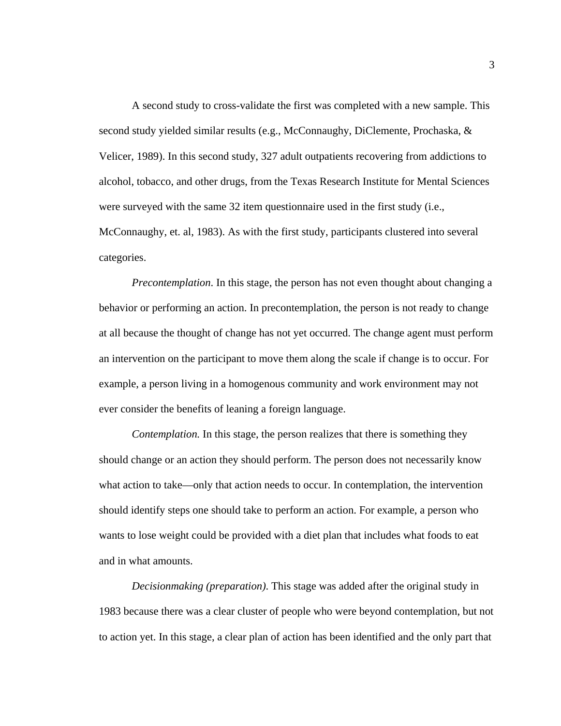A second study to cross-validate the first was completed with a new sample. This second study yielded similar results (e.g., McConnaughy, DiClemente, Prochaska, & Velicer, 1989). In this second study, 327 adult outpatients recovering from addictions to alcohol, tobacco, and other drugs, from the Texas Research Institute for Mental Sciences were surveyed with the same 32 item questionnaire used in the first study (i.e., McConnaughy, et. al, 1983). As with the first study, participants clustered into several categories.

*Precontemplation*. In this stage, the person has not even thought about changing a behavior or performing an action. In precontemplation, the person is not ready to change at all because the thought of change has not yet occurred. The change agent must perform an intervention on the participant to move them along the scale if change is to occur. For example, a person living in a homogenous community and work environment may not ever consider the benefits of leaning a foreign language.

*Contemplation.* In this stage, the person realizes that there is something they should change or an action they should perform. The person does not necessarily know what action to take—only that action needs to occur. In contemplation, the intervention should identify steps one should take to perform an action. For example, a person who wants to lose weight could be provided with a diet plan that includes what foods to eat and in what amounts.

*Decisionmaking (preparation)*. This stage was added after the original study in 1983 because there was a clear cluster of people who were beyond contemplation, but not to action yet. In this stage, a clear plan of action has been identified and the only part that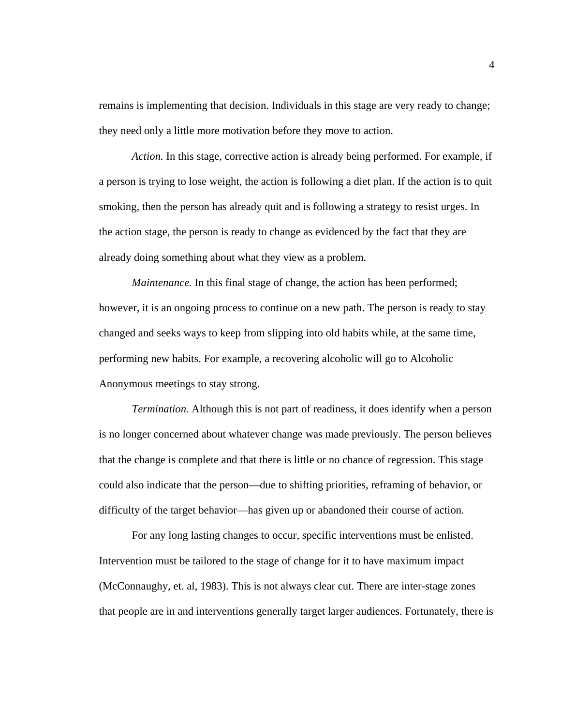remains is implementing that decision. Individuals in this stage are very ready to change; they need only a little more motivation before they move to action.

*Action.* In this stage, corrective action is already being performed. For example, if a person is trying to lose weight, the action is following a diet plan. If the action is to quit smoking, then the person has already quit and is following a strategy to resist urges. In the action stage, the person is ready to change as evidenced by the fact that they are already doing something about what they view as a problem.

*Maintenance*. In this final stage of change, the action has been performed; however, it is an ongoing process to continue on a new path. The person is ready to stay changed and seeks ways to keep from slipping into old habits while, at the same time, performing new habits. For example, a recovering alcoholic will go to Alcoholic Anonymous meetings to stay strong.

*Termination.* Although this is not part of readiness, it does identify when a person is no longer concerned about whatever change was made previously. The person believes that the change is complete and that there is little or no chance of regression. This stage could also indicate that the person—due to shifting priorities, reframing of behavior, or difficulty of the target behavior—has given up or abandoned their course of action.

For any long lasting changes to occur, specific interventions must be enlisted. Intervention must be tailored to the stage of change for it to have maximum impact (McConnaughy, et. al, 1983). This is not always clear cut. There are inter-stage zones that people are in and interventions generally target larger audiences. Fortunately, there is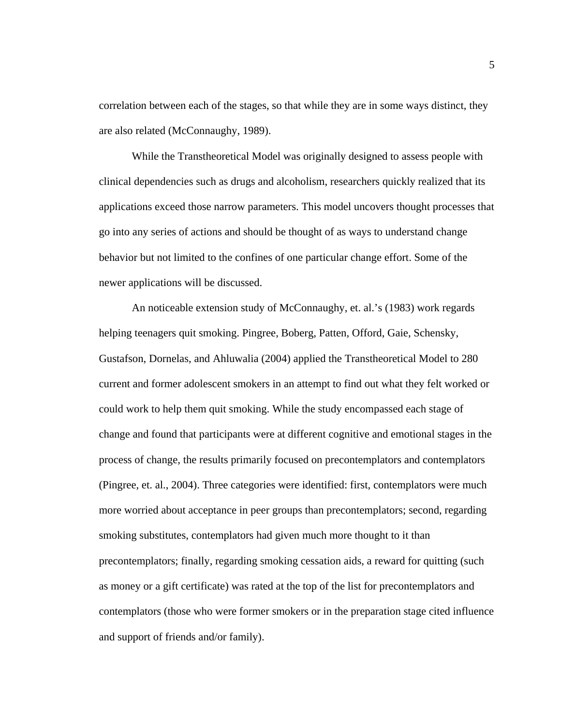correlation between each of the stages, so that while they are in some ways distinct, they are also related (McConnaughy, 1989).

While the Transtheoretical Model was originally designed to assess people with clinical dependencies such as drugs and alcoholism, researchers quickly realized that its applications exceed those narrow parameters. This model uncovers thought processes that go into any series of actions and should be thought of as ways to understand change behavior but not limited to the confines of one particular change effort. Some of the newer applications will be discussed.

An noticeable extension study of McConnaughy, et. al.'s (1983) work regards helping teenagers quit smoking. Pingree, Boberg, Patten, Offord, Gaie, Schensky, Gustafson, Dornelas, and Ahluwalia (2004) applied the Transtheoretical Model to 280 current and former adolescent smokers in an attempt to find out what they felt worked or could work to help them quit smoking. While the study encompassed each stage of change and found that participants were at different cognitive and emotional stages in the process of change, the results primarily focused on precontemplators and contemplators (Pingree, et. al., 2004). Three categories were identified: first, contemplators were much more worried about acceptance in peer groups than precontemplators; second, regarding smoking substitutes, contemplators had given much more thought to it than precontemplators; finally, regarding smoking cessation aids, a reward for quitting (such as money or a gift certificate) was rated at the top of the list for precontemplators and contemplators (those who were former smokers or in the preparation stage cited influence and support of friends and/or family).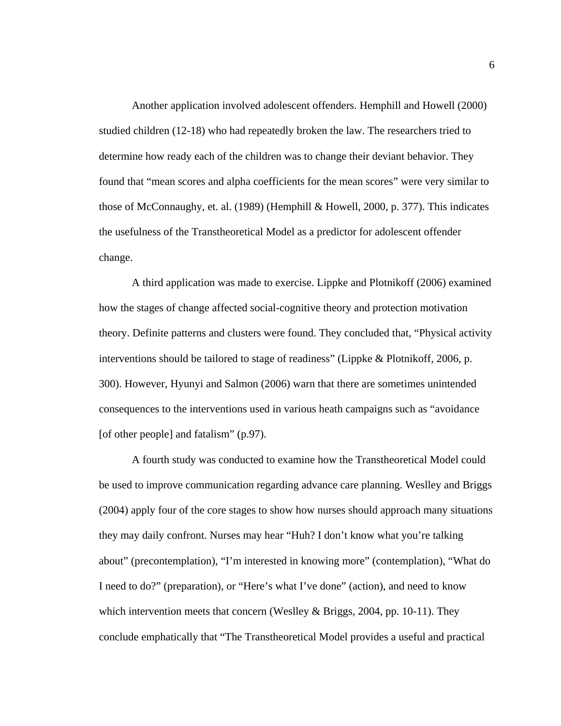Another application involved adolescent offenders. Hemphill and Howell (2000) studied children (12-18) who had repeatedly broken the law. The researchers tried to determine how ready each of the children was to change their deviant behavior. They found that "mean scores and alpha coefficients for the mean scores" were very similar to those of McConnaughy, et. al. (1989) (Hemphill & Howell, 2000, p. 377). This indicates the usefulness of the Transtheoretical Model as a predictor for adolescent offender change.

A third application was made to exercise. Lippke and Plotnikoff (2006) examined how the stages of change affected social-cognitive theory and protection motivation theory. Definite patterns and clusters were found. They concluded that, "Physical activity interventions should be tailored to stage of readiness" (Lippke & Plotnikoff, 2006, p. 300). However, Hyunyi and Salmon (2006) warn that there are sometimes unintended consequences to the interventions used in various heath campaigns such as "avoidance [of other people] and fatalism" (p.97).

A fourth study was conducted to examine how the Transtheoretical Model could be used to improve communication regarding advance care planning. Weslley and Briggs (2004) apply four of the core stages to show how nurses should approach many situations they may daily confront. Nurses may hear "Huh? I don't know what you're talking about" (precontemplation), "I'm interested in knowing more" (contemplation), "What do I need to do?" (preparation), or "Here's what I've done" (action), and need to know which intervention meets that concern (Weslley & Briggs, 2004, pp. 10-11). They conclude emphatically that "The Transtheoretical Model provides a useful and practical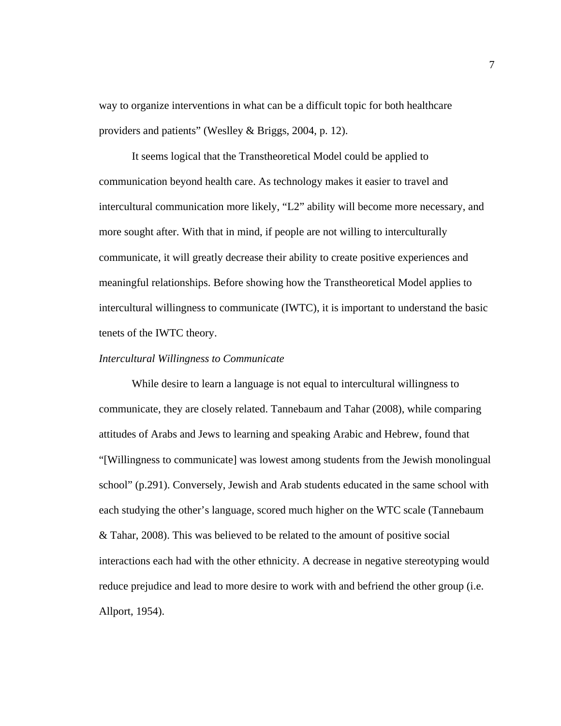way to organize interventions in what can be a difficult topic for both healthcare providers and patients" (Weslley & Briggs, 2004, p. 12).

It seems logical that the Transtheoretical Model could be applied to communication beyond health care. As technology makes it easier to travel and intercultural communication more likely, "L2" ability will become more necessary, and more sought after. With that in mind, if people are not willing to interculturally communicate, it will greatly decrease their ability to create positive experiences and meaningful relationships. Before showing how the Transtheoretical Model applies to intercultural willingness to communicate (IWTC), it is important to understand the basic tenets of the IWTC theory.

#### *Intercultural Willingness to Communicate*

While desire to learn a language is not equal to intercultural willingness to communicate, they are closely related. Tannebaum and Tahar (2008), while comparing attitudes of Arabs and Jews to learning and speaking Arabic and Hebrew, found that "[Willingness to communicate] was lowest among students from the Jewish monolingual school" (p.291). Conversely, Jewish and Arab students educated in the same school with each studying the other's language, scored much higher on the WTC scale (Tannebaum & Tahar, 2008). This was believed to be related to the amount of positive social interactions each had with the other ethnicity. A decrease in negative stereotyping would reduce prejudice and lead to more desire to work with and befriend the other group (i.e. Allport, 1954).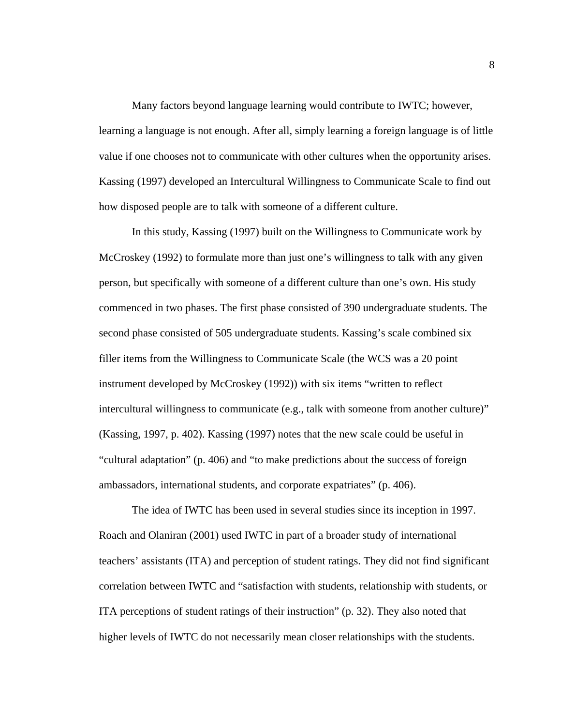Many factors beyond language learning would contribute to IWTC; however, learning a language is not enough. After all, simply learning a foreign language is of little value if one chooses not to communicate with other cultures when the opportunity arises. Kassing (1997) developed an Intercultural Willingness to Communicate Scale to find out how disposed people are to talk with someone of a different culture.

In this study, Kassing (1997) built on the Willingness to Communicate work by McCroskey (1992) to formulate more than just one's willingness to talk with any given person, but specifically with someone of a different culture than one's own. His study commenced in two phases. The first phase consisted of 390 undergraduate students. The second phase consisted of 505 undergraduate students. Kassing's scale combined six filler items from the Willingness to Communicate Scale (the WCS was a 20 point instrument developed by McCroskey (1992)) with six items "written to reflect intercultural willingness to communicate (e.g., talk with someone from another culture)" (Kassing, 1997, p. 402). Kassing (1997) notes that the new scale could be useful in "cultural adaptation" (p. 406) and "to make predictions about the success of foreign ambassadors, international students, and corporate expatriates" (p. 406).

The idea of IWTC has been used in several studies since its inception in 1997. Roach and Olaniran (2001) used IWTC in part of a broader study of international teachers' assistants (ITA) and perception of student ratings. They did not find significant correlation between IWTC and "satisfaction with students, relationship with students, or ITA perceptions of student ratings of their instruction" (p. 32). They also noted that higher levels of IWTC do not necessarily mean closer relationships with the students.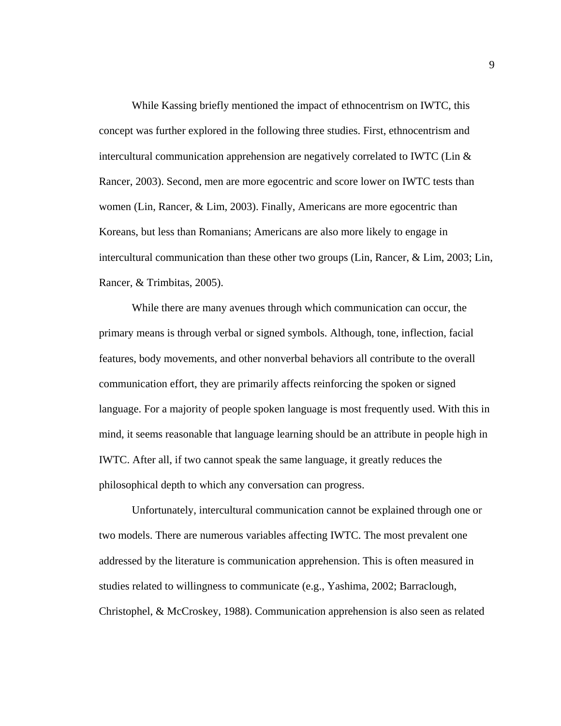While Kassing briefly mentioned the impact of ethnocentrism on IWTC, this concept was further explored in the following three studies. First, ethnocentrism and intercultural communication apprehension are negatively correlated to IWTC (Lin & Rancer, 2003). Second, men are more egocentric and score lower on IWTC tests than women (Lin, Rancer, & Lim, 2003). Finally, Americans are more egocentric than Koreans, but less than Romanians; Americans are also more likely to engage in intercultural communication than these other two groups (Lin, Rancer, & Lim, 2003; Lin, Rancer, & Trimbitas, 2005).

While there are many avenues through which communication can occur, the primary means is through verbal or signed symbols. Although, tone, inflection, facial features, body movements, and other nonverbal behaviors all contribute to the overall communication effort, they are primarily affects reinforcing the spoken or signed language. For a majority of people spoken language is most frequently used. With this in mind, it seems reasonable that language learning should be an attribute in people high in IWTC. After all, if two cannot speak the same language, it greatly reduces the philosophical depth to which any conversation can progress.

Unfortunately, intercultural communication cannot be explained through one or two models. There are numerous variables affecting IWTC. The most prevalent one addressed by the literature is communication apprehension. This is often measured in studies related to willingness to communicate (e.g., Yashima, 2002; Barraclough, Christophel, & McCroskey, 1988). Communication apprehension is also seen as related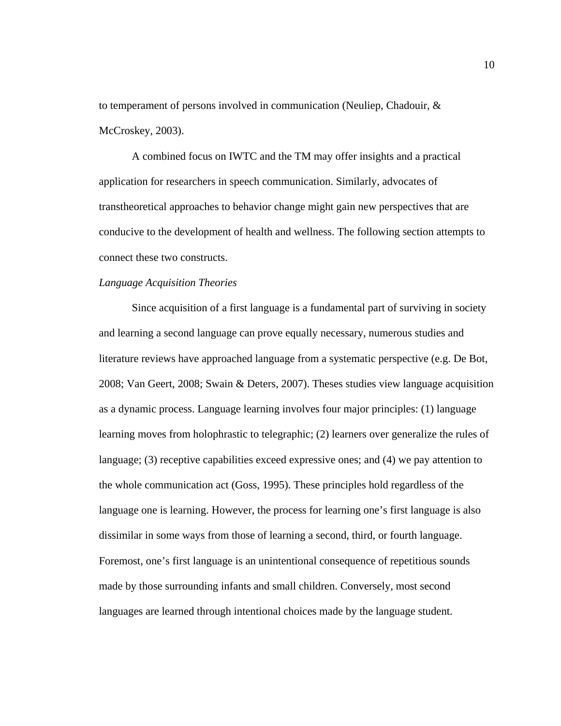to temperament of persons involved in communication (Neuliep, Chadouir, & McCroskey, 2003).

A combined focus on IWTC and the TM may offer insights and a practical application for researchers in speech communication. Similarly, advocates of transtheoretical approaches to behavior change might gain new perspectives that are conducive to the development of health and wellness. The following section attempts to connect these two constructs.

#### *Language Acquisition Theories*

Since acquisition of a first language is a fundamental part of surviving in society and learning a second language can prove equally necessary, numerous studies and literature reviews have approached language from a systematic perspective (e.g. De Bot, 2008; Van Geert, 2008; Swain & Deters, 2007). Theses studies view language acquisition as a dynamic process. Language learning involves four major principles: (1) language learning moves from holophrastic to telegraphic; (2) learners over generalize the rules of language; (3) receptive capabilities exceed expressive ones; and (4) we pay attention to the whole communication act (Goss, 1995). These principles hold regardless of the language one is learning. However, the process for learning one's first language is also dissimilar in some ways from those of learning a second, third, or fourth language. Foremost, one's first language is an unintentional consequence of repetitious sounds made by those surrounding infants and small children. Conversely, most second languages are learned through intentional choices made by the language student.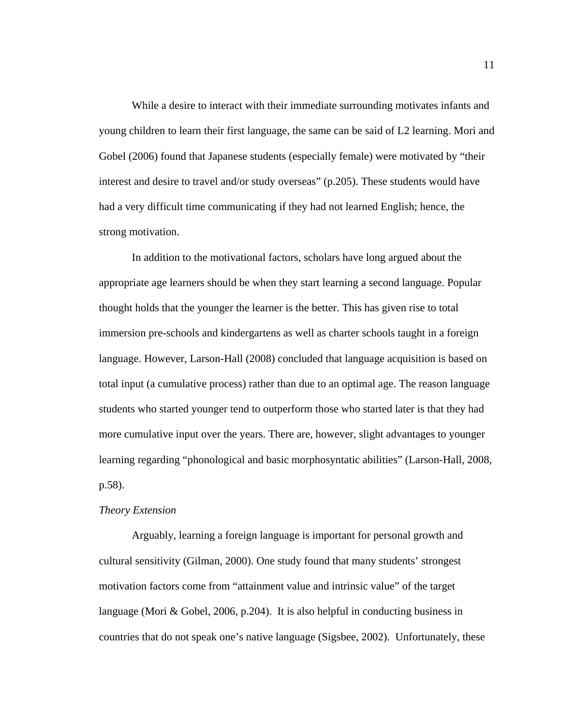While a desire to interact with their immediate surrounding motivates infants and young children to learn their first language, the same can be said of L2 learning. Mori and Gobel (2006) found that Japanese students (especially female) were motivated by "their interest and desire to travel and/or study overseas" (p.205). These students would have had a very difficult time communicating if they had not learned English; hence, the strong motivation.

In addition to the motivational factors, scholars have long argued about the appropriate age learners should be when they start learning a second language. Popular thought holds that the younger the learner is the better. This has given rise to total immersion pre-schools and kindergartens as well as charter schools taught in a foreign language. However, Larson-Hall (2008) concluded that language acquisition is based on total input (a cumulative process) rather than due to an optimal age. The reason language students who started younger tend to outperform those who started later is that they had more cumulative input over the years. There are, however, slight advantages to younger learning regarding "phonological and basic morphosyntatic abilities" (Larson-Hall, 2008, p.58).

#### *Theory Extension*

Arguably, learning a foreign language is important for personal growth and cultural sensitivity (Gilman, 2000). One study found that many students' strongest motivation factors come from "attainment value and intrinsic value" of the target language (Mori & Gobel, 2006, p.204). It is also helpful in conducting business in countries that do not speak one's native language (Sigsbee, 2002). Unfortunately, these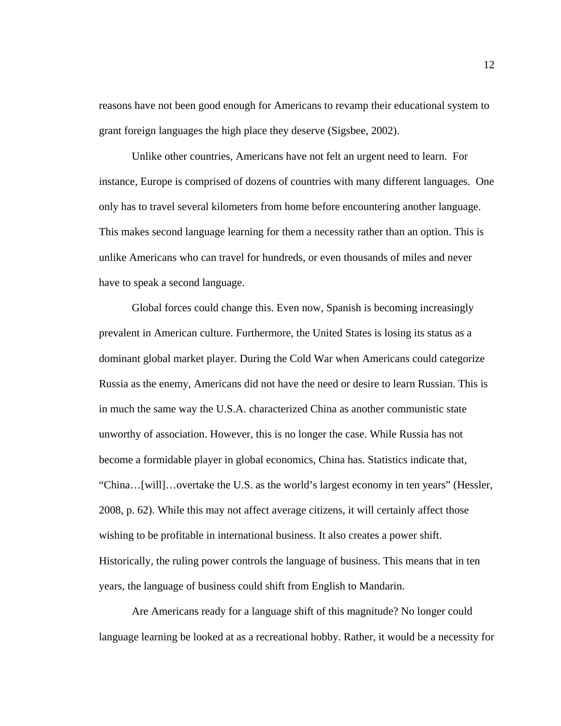reasons have not been good enough for Americans to revamp their educational system to grant foreign languages the high place they deserve (Sigsbee, 2002).

Unlike other countries, Americans have not felt an urgent need to learn. For instance, Europe is comprised of dozens of countries with many different languages. One only has to travel several kilometers from home before encountering another language. This makes second language learning for them a necessity rather than an option. This is unlike Americans who can travel for hundreds, or even thousands of miles and never have to speak a second language.

Global forces could change this. Even now, Spanish is becoming increasingly prevalent in American culture. Furthermore, the United States is losing its status as a dominant global market player. During the Cold War when Americans could categorize Russia as the enemy, Americans did not have the need or desire to learn Russian. This is in much the same way the U.S.A. characterized China as another communistic state unworthy of association. However, this is no longer the case. While Russia has not become a formidable player in global economics, China has. Statistics indicate that, "China…[will]…overtake the U.S. as the world's largest economy in ten years" (Hessler, 2008, p. 62). While this may not affect average citizens, it will certainly affect those wishing to be profitable in international business. It also creates a power shift. Historically, the ruling power controls the language of business. This means that in ten years, the language of business could shift from English to Mandarin.

Are Americans ready for a language shift of this magnitude? No longer could language learning be looked at as a recreational hobby. Rather, it would be a necessity for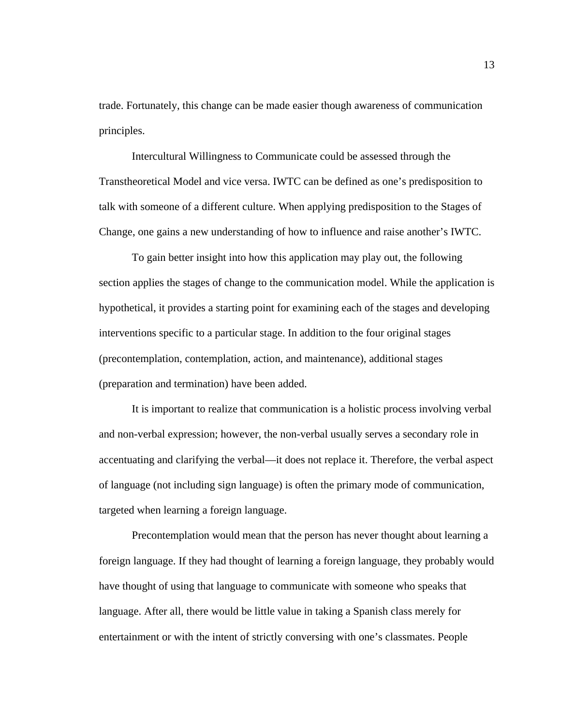trade. Fortunately, this change can be made easier though awareness of communication principles.

Intercultural Willingness to Communicate could be assessed through the Transtheoretical Model and vice versa. IWTC can be defined as one's predisposition to talk with someone of a different culture. When applying predisposition to the Stages of Change, one gains a new understanding of how to influence and raise another's IWTC.

To gain better insight into how this application may play out, the following section applies the stages of change to the communication model. While the application is hypothetical, it provides a starting point for examining each of the stages and developing interventions specific to a particular stage. In addition to the four original stages (precontemplation, contemplation, action, and maintenance), additional stages (preparation and termination) have been added.

It is important to realize that communication is a holistic process involving verbal and non-verbal expression; however, the non-verbal usually serves a secondary role in accentuating and clarifying the verbal—it does not replace it. Therefore, the verbal aspect of language (not including sign language) is often the primary mode of communication, targeted when learning a foreign language.

Precontemplation would mean that the person has never thought about learning a foreign language. If they had thought of learning a foreign language, they probably would have thought of using that language to communicate with someone who speaks that language. After all, there would be little value in taking a Spanish class merely for entertainment or with the intent of strictly conversing with one's classmates. People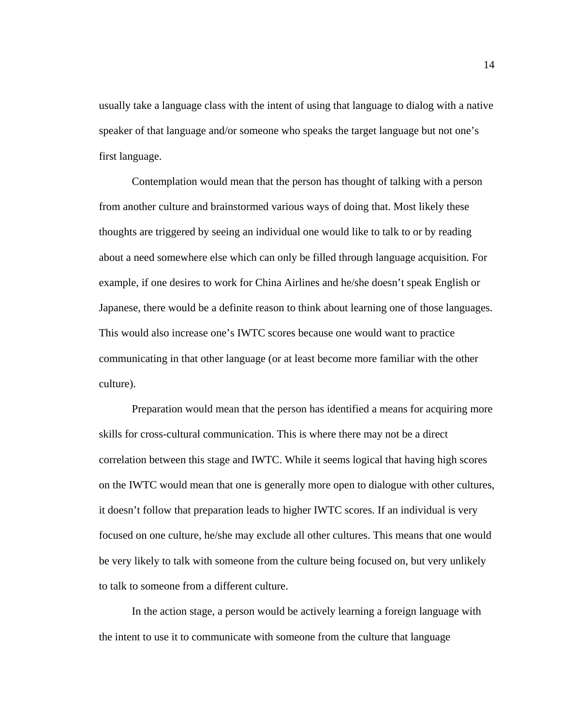usually take a language class with the intent of using that language to dialog with a native speaker of that language and/or someone who speaks the target language but not one's first language.

Contemplation would mean that the person has thought of talking with a person from another culture and brainstormed various ways of doing that. Most likely these thoughts are triggered by seeing an individual one would like to talk to or by reading about a need somewhere else which can only be filled through language acquisition. For example, if one desires to work for China Airlines and he/she doesn't speak English or Japanese, there would be a definite reason to think about learning one of those languages. This would also increase one's IWTC scores because one would want to practice communicating in that other language (or at least become more familiar with the other culture).

Preparation would mean that the person has identified a means for acquiring more skills for cross-cultural communication. This is where there may not be a direct correlation between this stage and IWTC. While it seems logical that having high scores on the IWTC would mean that one is generally more open to dialogue with other cultures, it doesn't follow that preparation leads to higher IWTC scores. If an individual is very focused on one culture, he/she may exclude all other cultures. This means that one would be very likely to talk with someone from the culture being focused on, but very unlikely to talk to someone from a different culture.

In the action stage, a person would be actively learning a foreign language with the intent to use it to communicate with someone from the culture that language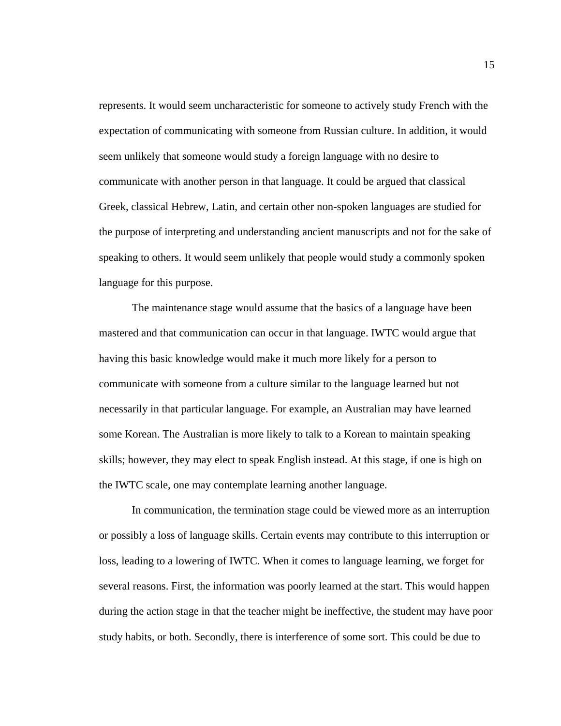represents. It would seem uncharacteristic for someone to actively study French with the expectation of communicating with someone from Russian culture. In addition, it would seem unlikely that someone would study a foreign language with no desire to communicate with another person in that language. It could be argued that classical Greek, classical Hebrew, Latin, and certain other non-spoken languages are studied for the purpose of interpreting and understanding ancient manuscripts and not for the sake of speaking to others. It would seem unlikely that people would study a commonly spoken language for this purpose.

The maintenance stage would assume that the basics of a language have been mastered and that communication can occur in that language. IWTC would argue that having this basic knowledge would make it much more likely for a person to communicate with someone from a culture similar to the language learned but not necessarily in that particular language. For example, an Australian may have learned some Korean. The Australian is more likely to talk to a Korean to maintain speaking skills; however, they may elect to speak English instead. At this stage, if one is high on the IWTC scale, one may contemplate learning another language.

In communication, the termination stage could be viewed more as an interruption or possibly a loss of language skills. Certain events may contribute to this interruption or loss, leading to a lowering of IWTC. When it comes to language learning, we forget for several reasons. First, the information was poorly learned at the start. This would happen during the action stage in that the teacher might be ineffective, the student may have poor study habits, or both. Secondly, there is interference of some sort. This could be due to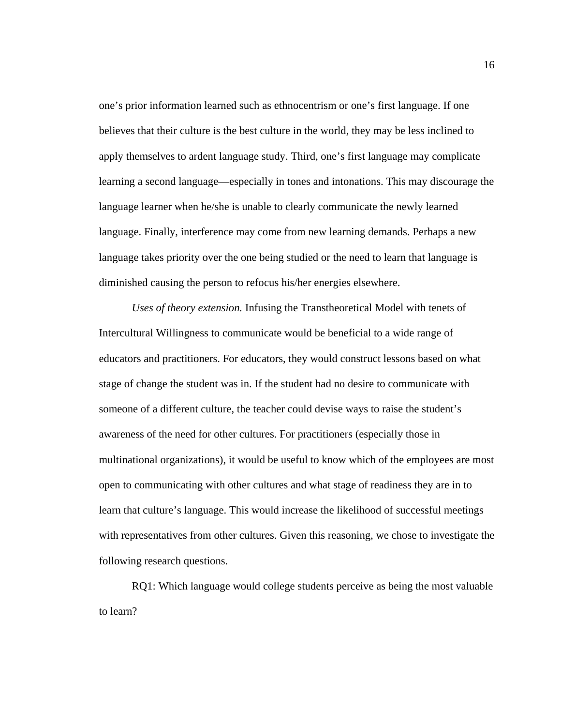one's prior information learned such as ethnocentrism or one's first language. If one believes that their culture is the best culture in the world, they may be less inclined to apply themselves to ardent language study. Third, one's first language may complicate learning a second language—especially in tones and intonations. This may discourage the language learner when he/she is unable to clearly communicate the newly learned language. Finally, interference may come from new learning demands. Perhaps a new language takes priority over the one being studied or the need to learn that language is diminished causing the person to refocus his/her energies elsewhere.

*Uses of theory extension.* Infusing the Transtheoretical Model with tenets of Intercultural Willingness to communicate would be beneficial to a wide range of educators and practitioners. For educators, they would construct lessons based on what stage of change the student was in. If the student had no desire to communicate with someone of a different culture, the teacher could devise ways to raise the student's awareness of the need for other cultures. For practitioners (especially those in multinational organizations), it would be useful to know which of the employees are most open to communicating with other cultures and what stage of readiness they are in to learn that culture's language. This would increase the likelihood of successful meetings with representatives from other cultures. Given this reasoning, we chose to investigate the following research questions.

RQ1: Which language would college students perceive as being the most valuable to learn?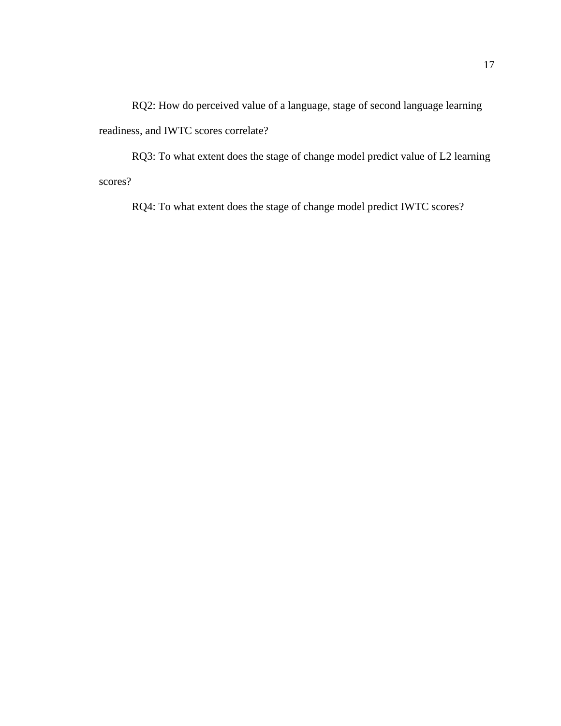RQ2: How do perceived value of a language, stage of second language learning readiness, and IWTC scores correlate?

RQ3: To what extent does the stage of change model predict value of L2 learning scores?

RQ4: To what extent does the stage of change model predict IWTC scores?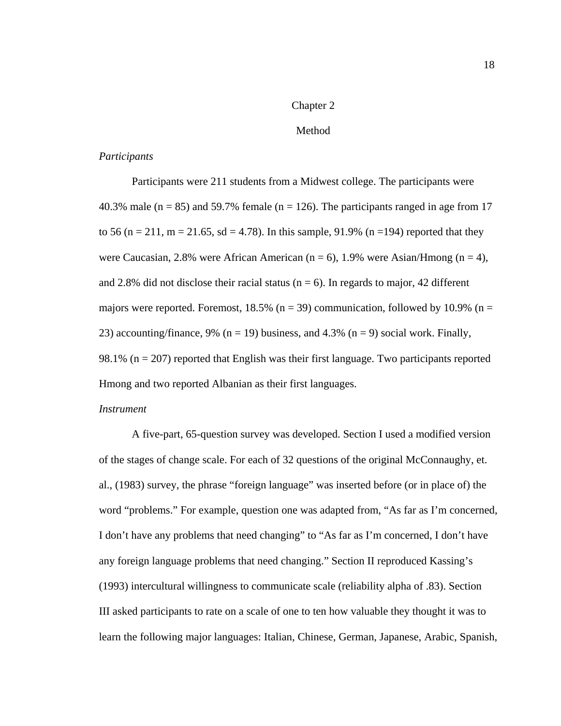### Chapter 2

### Method

### *Participants*

Participants were 211 students from a Midwest college. The participants were 40.3% male ( $n = 85$ ) and 59.7% female ( $n = 126$ ). The participants ranged in age from 17 to 56 (n = 211, m = 21.65, sd = 4.78). In this sample, 91.9% (n = 194) reported that they were Caucasian, 2.8% were African American ( $n = 6$ ), 1.9% were Asian/Hmong ( $n = 4$ ), and 2.8% did not disclose their racial status ( $n = 6$ ). In regards to major, 42 different majors were reported. Foremost, 18.5% ( $n = 39$ ) communication, followed by 10.9% ( $n =$ 23) accounting/finance, 9% ( $n = 19$ ) business, and 4.3% ( $n = 9$ ) social work. Finally, 98.1% ( $n = 207$ ) reported that English was their first language. Two participants reported Hmong and two reported Albanian as their first languages.

#### *Instrument*

A five-part, 65-question survey was developed. Section I used a modified version of the stages of change scale. For each of 32 questions of the original McConnaughy, et. al., (1983) survey, the phrase "foreign language" was inserted before (or in place of) the word "problems." For example, question one was adapted from, "As far as I'm concerned, I don't have any problems that need changing" to "As far as I'm concerned, I don't have any foreign language problems that need changing." Section II reproduced Kassing's (1993) intercultural willingness to communicate scale (reliability alpha of .83). Section III asked participants to rate on a scale of one to ten how valuable they thought it was to learn the following major languages: Italian, Chinese, German, Japanese, Arabic, Spanish,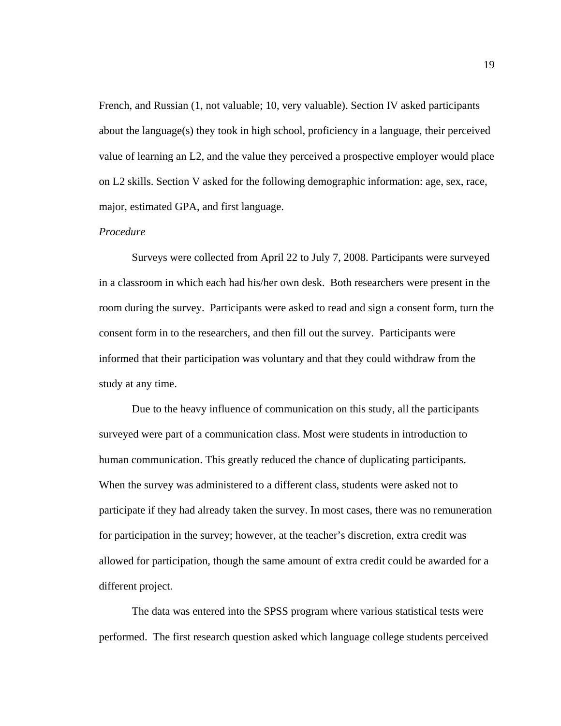French, and Russian (1, not valuable; 10, very valuable). Section IV asked participants about the language(s) they took in high school, proficiency in a language, their perceived value of learning an L2, and the value they perceived a prospective employer would place on L2 skills. Section V asked for the following demographic information: age, sex, race, major, estimated GPA, and first language.

### *Procedure*

Surveys were collected from April 22 to July 7, 2008. Participants were surveyed in a classroom in which each had his/her own desk. Both researchers were present in the room during the survey. Participants were asked to read and sign a consent form, turn the consent form in to the researchers, and then fill out the survey. Participants were informed that their participation was voluntary and that they could withdraw from the study at any time.

Due to the heavy influence of communication on this study, all the participants surveyed were part of a communication class. Most were students in introduction to human communication. This greatly reduced the chance of duplicating participants. When the survey was administered to a different class, students were asked not to participate if they had already taken the survey. In most cases, there was no remuneration for participation in the survey; however, at the teacher's discretion, extra credit was allowed for participation, though the same amount of extra credit could be awarded for a different project.

The data was entered into the SPSS program where various statistical tests were performed. The first research question asked which language college students perceived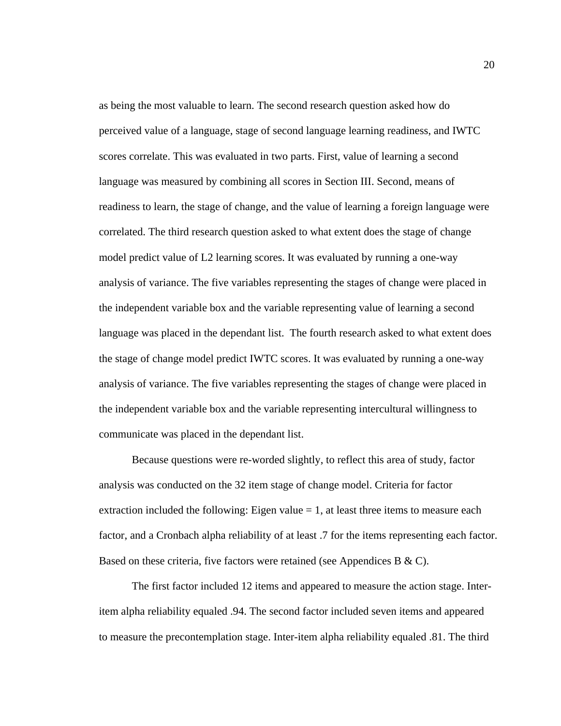as being the most valuable to learn. The second research question asked how do perceived value of a language, stage of second language learning readiness, and IWTC scores correlate. This was evaluated in two parts. First, value of learning a second language was measured by combining all scores in Section III. Second, means of readiness to learn, the stage of change, and the value of learning a foreign language were correlated. The third research question asked to what extent does the stage of change model predict value of L2 learning scores. It was evaluated by running a one-way analysis of variance. The five variables representing the stages of change were placed in the independent variable box and the variable representing value of learning a second language was placed in the dependant list. The fourth research asked to what extent does the stage of change model predict IWTC scores. It was evaluated by running a one-way analysis of variance. The five variables representing the stages of change were placed in the independent variable box and the variable representing intercultural willingness to communicate was placed in the dependant list.

Because questions were re-worded slightly, to reflect this area of study, factor analysis was conducted on the 32 item stage of change model. Criteria for factor extraction included the following: Eigen value  $= 1$ , at least three items to measure each factor, and a Cronbach alpha reliability of at least .7 for the items representing each factor. Based on these criteria, five factors were retained (see Appendices B & C).

The first factor included 12 items and appeared to measure the action stage. Interitem alpha reliability equaled .94. The second factor included seven items and appeared to measure the precontemplation stage. Inter-item alpha reliability equaled .81. The third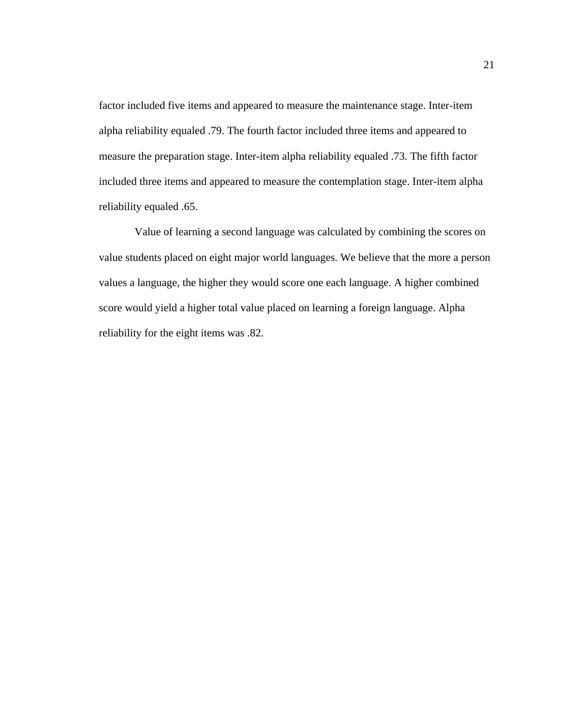factor included five items and appeared to measure the maintenance stage. Inter-item alpha reliability equaled .79. The fourth factor included three items and appeared to measure the preparation stage. Inter-item alpha reliability equaled .73. The fifth factor included three items and appeared to measure the contemplation stage. Inter-item alpha reliability equaled .65.

 Value of learning a second language was calculated by combining the scores on value students placed on eight major world languages. We believe that the more a person values a language, the higher they would score one each language. A higher combined score would yield a higher total value placed on learning a foreign language. Alpha reliability for the eight items was .82.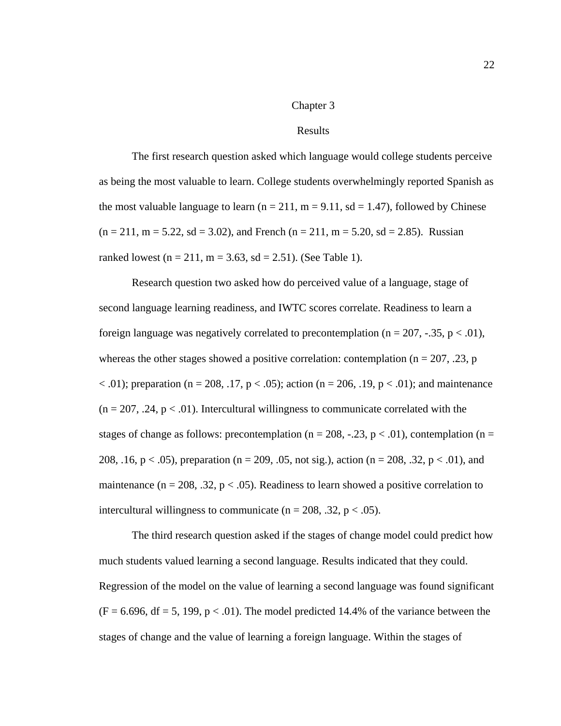### Chapter 3

### Results

The first research question asked which language would college students perceive as being the most valuable to learn. College students overwhelmingly reported Spanish as the most valuable language to learn ( $n = 211$ ,  $m = 9.11$ ,  $sd = 1.47$ ), followed by Chinese  $(n = 211, m = 5.22, sd = 3.02)$ , and French  $(n = 211, m = 5.20, sd = 2.85)$ . Russian ranked lowest (n = 211, m = 3.63, sd = 2.51). (See Table 1).

Research question two asked how do perceived value of a language, stage of second language learning readiness, and IWTC scores correlate. Readiness to learn a foreign language was negatively correlated to precontemplation ( $n = 207, -.35, p < .01$ ), whereas the other stages showed a positive correlation: contemplation ( $n = 207$ , .23, p  $< .01$ ); preparation (n = 208, .17, p  $< .05$ ); action (n = 206, .19, p  $< .01$ ); and maintenance  $(n = 207, 0.24, p < 0.01)$ . Intercultural willingness to communicate correlated with the stages of change as follows: precontemplation ( $n = 208, -.23, p < .01$ ), contemplation ( $n =$ 208, .16, p < .05), preparation (n = 209, .05, not sig.), action (n = 208, .32, p < .01), and maintenance ( $n = 208$ , .32,  $p < .05$ ). Readiness to learn showed a positive correlation to intercultural willingness to communicate ( $n = 208$ , .32,  $p < .05$ ).

The third research question asked if the stages of change model could predict how much students valued learning a second language. Results indicated that they could. Regression of the model on the value of learning a second language was found significant  $(F = 6.696, df = 5, 199, p < .01)$ . The model predicted 14.4% of the variance between the stages of change and the value of learning a foreign language. Within the stages of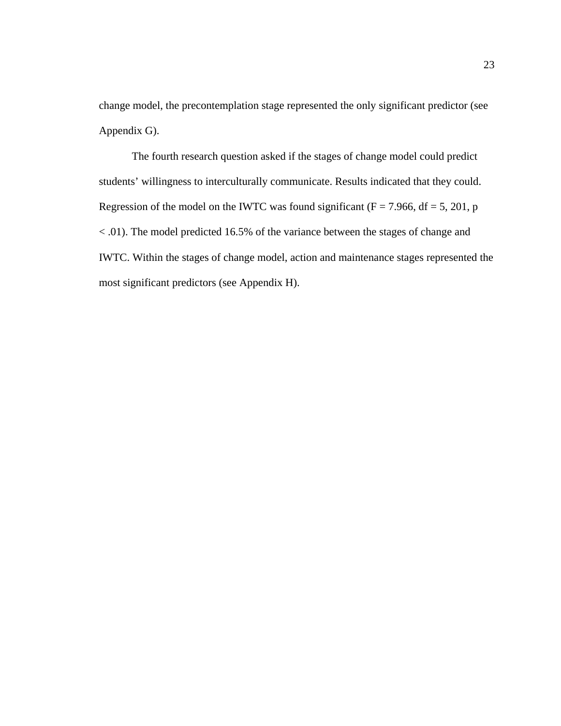change model, the precontemplation stage represented the only significant predictor (see Appendix G).

The fourth research question asked if the stages of change model could predict students' willingness to interculturally communicate. Results indicated that they could. Regression of the model on the IWTC was found significant ( $F = 7.966$ , df = 5, 201, p < .01). The model predicted 16.5% of the variance between the stages of change and IWTC. Within the stages of change model, action and maintenance stages represented the most significant predictors (see Appendix H).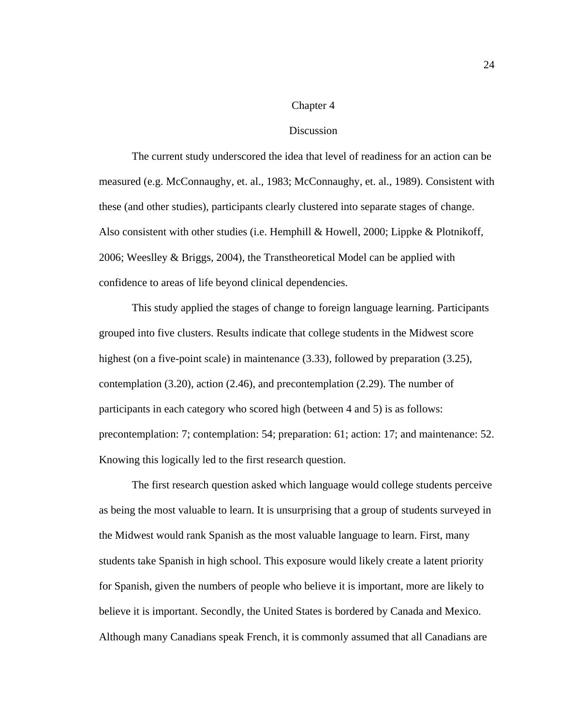### Chapter 4

### Discussion

The current study underscored the idea that level of readiness for an action can be measured (e.g. McConnaughy, et. al., 1983; McConnaughy, et. al., 1989). Consistent with these (and other studies), participants clearly clustered into separate stages of change. Also consistent with other studies (i.e. Hemphill & Howell, 2000; Lippke & Plotnikoff, 2006; Weeslley & Briggs, 2004), the Transtheoretical Model can be applied with confidence to areas of life beyond clinical dependencies.

This study applied the stages of change to foreign language learning. Participants grouped into five clusters. Results indicate that college students in the Midwest score highest (on a five-point scale) in maintenance (3.33), followed by preparation (3.25), contemplation (3.20), action (2.46), and precontemplation (2.29). The number of participants in each category who scored high (between 4 and 5) is as follows: precontemplation: 7; contemplation: 54; preparation: 61; action: 17; and maintenance: 52. Knowing this logically led to the first research question.

The first research question asked which language would college students perceive as being the most valuable to learn. It is unsurprising that a group of students surveyed in the Midwest would rank Spanish as the most valuable language to learn. First, many students take Spanish in high school. This exposure would likely create a latent priority for Spanish, given the numbers of people who believe it is important, more are likely to believe it is important. Secondly, the United States is bordered by Canada and Mexico. Although many Canadians speak French, it is commonly assumed that all Canadians are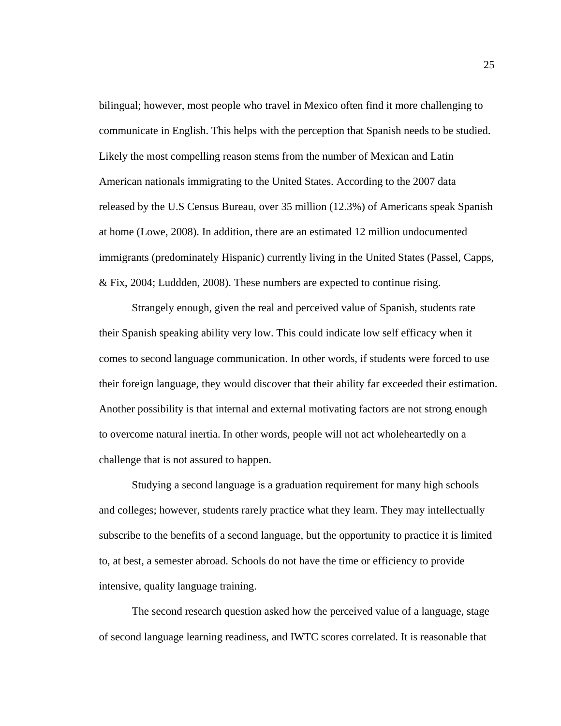bilingual; however, most people who travel in Mexico often find it more challenging to communicate in English. This helps with the perception that Spanish needs to be studied. Likely the most compelling reason stems from the number of Mexican and Latin American nationals immigrating to the United States. According to the 2007 data released by the U.S Census Bureau, over 35 million (12.3%) of Americans speak Spanish at home (Lowe, 2008). In addition, there are an estimated 12 million undocumented immigrants (predominately Hispanic) currently living in the United States (Passel, Capps, & Fix, 2004; Luddden, 2008). These numbers are expected to continue rising.

Strangely enough, given the real and perceived value of Spanish, students rate their Spanish speaking ability very low. This could indicate low self efficacy when it comes to second language communication. In other words, if students were forced to use their foreign language, they would discover that their ability far exceeded their estimation. Another possibility is that internal and external motivating factors are not strong enough to overcome natural inertia. In other words, people will not act wholeheartedly on a challenge that is not assured to happen.

Studying a second language is a graduation requirement for many high schools and colleges; however, students rarely practice what they learn. They may intellectually subscribe to the benefits of a second language, but the opportunity to practice it is limited to, at best, a semester abroad. Schools do not have the time or efficiency to provide intensive, quality language training.

The second research question asked how the perceived value of a language, stage of second language learning readiness, and IWTC scores correlated. It is reasonable that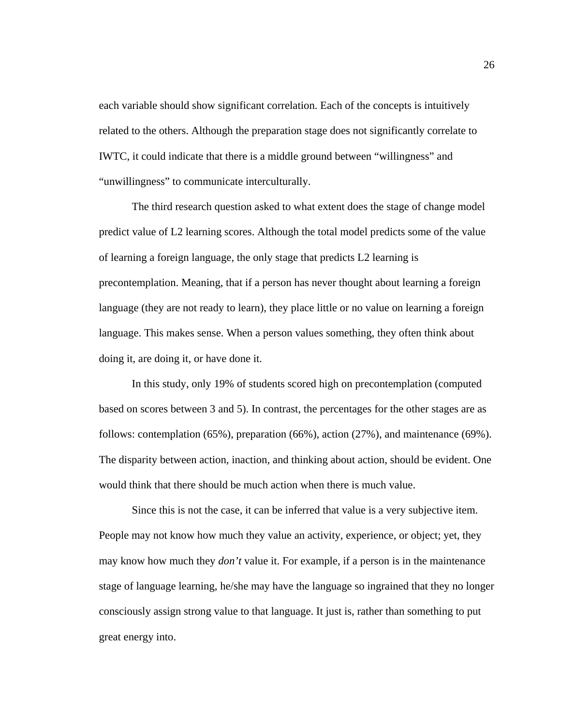each variable should show significant correlation. Each of the concepts is intuitively related to the others. Although the preparation stage does not significantly correlate to IWTC, it could indicate that there is a middle ground between "willingness" and "unwillingness" to communicate interculturally.

The third research question asked to what extent does the stage of change model predict value of L2 learning scores. Although the total model predicts some of the value of learning a foreign language, the only stage that predicts L2 learning is precontemplation. Meaning, that if a person has never thought about learning a foreign language (they are not ready to learn), they place little or no value on learning a foreign language. This makes sense. When a person values something, they often think about doing it, are doing it, or have done it.

In this study, only 19% of students scored high on precontemplation (computed based on scores between 3 and 5). In contrast, the percentages for the other stages are as follows: contemplation (65%), preparation (66%), action (27%), and maintenance (69%). The disparity between action, inaction, and thinking about action, should be evident. One would think that there should be much action when there is much value.

Since this is not the case, it can be inferred that value is a very subjective item. People may not know how much they value an activity, experience, or object; yet, they may know how much they *don't* value it. For example, if a person is in the maintenance stage of language learning, he/she may have the language so ingrained that they no longer consciously assign strong value to that language. It just is, rather than something to put great energy into.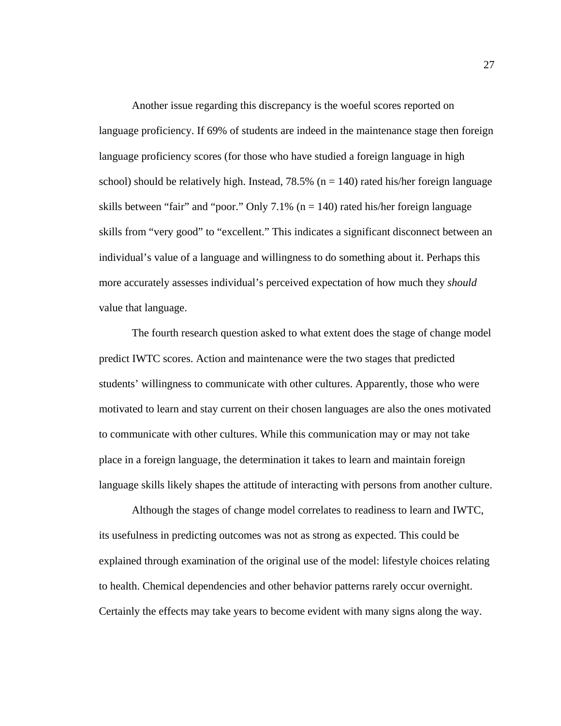Another issue regarding this discrepancy is the woeful scores reported on language proficiency. If 69% of students are indeed in the maintenance stage then foreign language proficiency scores (for those who have studied a foreign language in high school) should be relatively high. Instead,  $78.5\%$  (n = 140) rated his/her foreign language skills between "fair" and "poor." Only 7.1% ( $n = 140$ ) rated his/her foreign language skills from "very good" to "excellent." This indicates a significant disconnect between an individual's value of a language and willingness to do something about it. Perhaps this more accurately assesses individual's perceived expectation of how much they *should* value that language.

The fourth research question asked to what extent does the stage of change model predict IWTC scores. Action and maintenance were the two stages that predicted students' willingness to communicate with other cultures. Apparently, those who were motivated to learn and stay current on their chosen languages are also the ones motivated to communicate with other cultures. While this communication may or may not take place in a foreign language, the determination it takes to learn and maintain foreign language skills likely shapes the attitude of interacting with persons from another culture.

Although the stages of change model correlates to readiness to learn and IWTC, its usefulness in predicting outcomes was not as strong as expected. This could be explained through examination of the original use of the model: lifestyle choices relating to health. Chemical dependencies and other behavior patterns rarely occur overnight. Certainly the effects may take years to become evident with many signs along the way.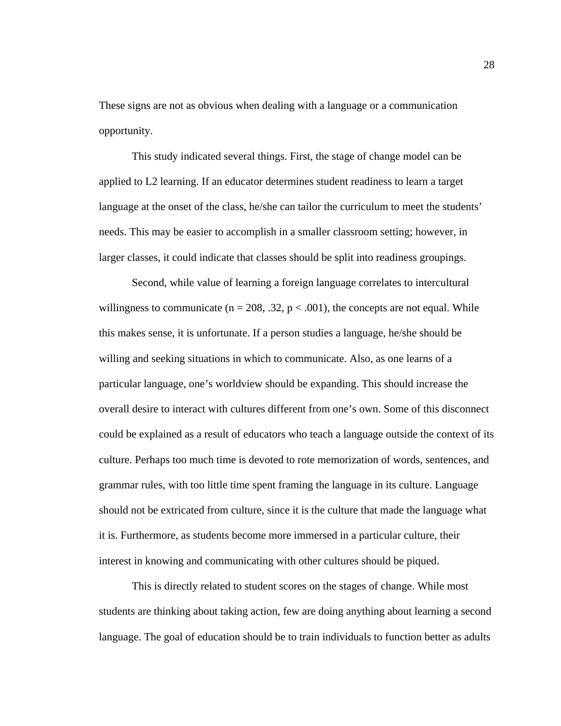These signs are not as obvious when dealing with a language or a communication opportunity.

This study indicated several things. First, the stage of change model can be applied to L2 learning. If an educator determines student readiness to learn a target language at the onset of the class, he/she can tailor the curriculum to meet the students' needs. This may be easier to accomplish in a smaller classroom setting; however, in larger classes, it could indicate that classes should be split into readiness groupings.

Second, while value of learning a foreign language correlates to intercultural willingness to communicate ( $n = 208$ , .32,  $p < .001$ ), the concepts are not equal. While this makes sense, it is unfortunate. If a person studies a language, he/she should be willing and seeking situations in which to communicate. Also, as one learns of a particular language, one's worldview should be expanding. This should increase the overall desire to interact with cultures different from one's own. Some of this disconnect could be explained as a result of educators who teach a language outside the context of its culture. Perhaps too much time is devoted to rote memorization of words, sentences, and grammar rules, with too little time spent framing the language in its culture. Language should not be extricated from culture, since it is the culture that made the language what it is. Furthermore, as students become more immersed in a particular culture, their interest in knowing and communicating with other cultures should be piqued.

This is directly related to student scores on the stages of change. While most students are thinking about taking action, few are doing anything about learning a second language. The goal of education should be to train individuals to function better as adults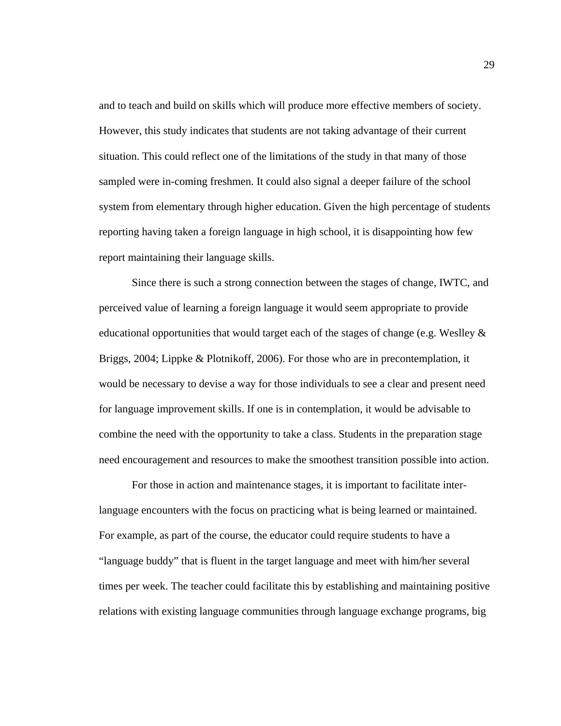and to teach and build on skills which will produce more effective members of society. However, this study indicates that students are not taking advantage of their current situation. This could reflect one of the limitations of the study in that many of those sampled were in-coming freshmen. It could also signal a deeper failure of the school system from elementary through higher education. Given the high percentage of students reporting having taken a foreign language in high school, it is disappointing how few report maintaining their language skills.

Since there is such a strong connection between the stages of change, IWTC, and perceived value of learning a foreign language it would seem appropriate to provide educational opportunities that would target each of the stages of change (e.g. Weslley  $\&$ Briggs, 2004; Lippke & Plotnikoff, 2006). For those who are in precontemplation, it would be necessary to devise a way for those individuals to see a clear and present need for language improvement skills. If one is in contemplation, it would be advisable to combine the need with the opportunity to take a class. Students in the preparation stage need encouragement and resources to make the smoothest transition possible into action.

For those in action and maintenance stages, it is important to facilitate interlanguage encounters with the focus on practicing what is being learned or maintained. For example, as part of the course, the educator could require students to have a "language buddy" that is fluent in the target language and meet with him/her several times per week. The teacher could facilitate this by establishing and maintaining positive relations with existing language communities through language exchange programs, big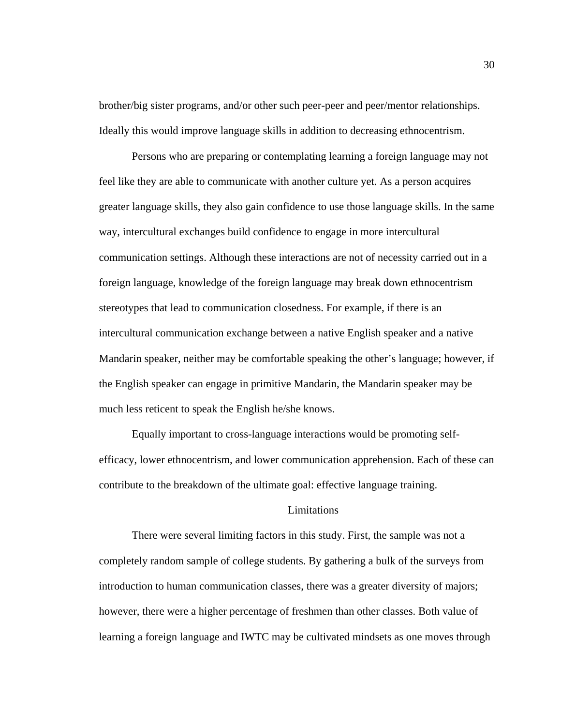brother/big sister programs, and/or other such peer-peer and peer/mentor relationships. Ideally this would improve language skills in addition to decreasing ethnocentrism.

Persons who are preparing or contemplating learning a foreign language may not feel like they are able to communicate with another culture yet. As a person acquires greater language skills, they also gain confidence to use those language skills. In the same way, intercultural exchanges build confidence to engage in more intercultural communication settings. Although these interactions are not of necessity carried out in a foreign language, knowledge of the foreign language may break down ethnocentrism stereotypes that lead to communication closedness. For example, if there is an intercultural communication exchange between a native English speaker and a native Mandarin speaker, neither may be comfortable speaking the other's language; however, if the English speaker can engage in primitive Mandarin, the Mandarin speaker may be much less reticent to speak the English he/she knows.

Equally important to cross-language interactions would be promoting selfefficacy, lower ethnocentrism, and lower communication apprehension. Each of these can contribute to the breakdown of the ultimate goal: effective language training.

### **Limitations**

There were several limiting factors in this study. First, the sample was not a completely random sample of college students. By gathering a bulk of the surveys from introduction to human communication classes, there was a greater diversity of majors; however, there were a higher percentage of freshmen than other classes. Both value of learning a foreign language and IWTC may be cultivated mindsets as one moves through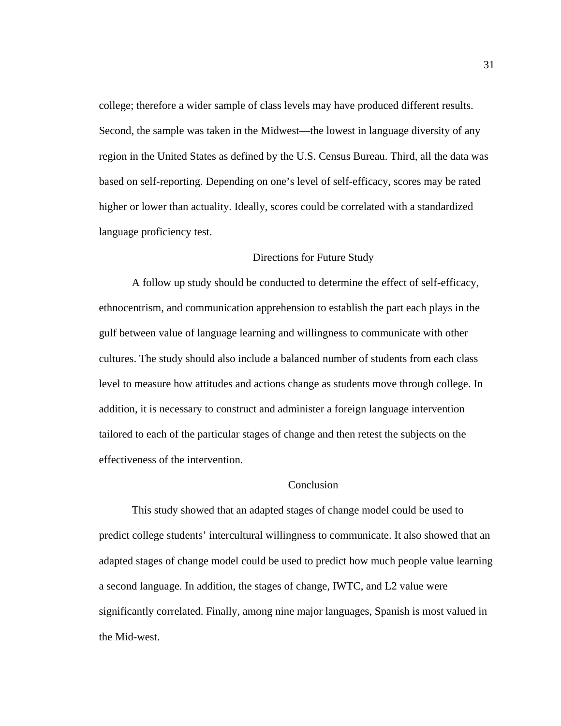college; therefore a wider sample of class levels may have produced different results. Second, the sample was taken in the Midwest—the lowest in language diversity of any region in the United States as defined by the U.S. Census Bureau. Third, all the data was based on self-reporting. Depending on one's level of self-efficacy, scores may be rated higher or lower than actuality. Ideally, scores could be correlated with a standardized language proficiency test.

#### Directions for Future Study

A follow up study should be conducted to determine the effect of self-efficacy, ethnocentrism, and communication apprehension to establish the part each plays in the gulf between value of language learning and willingness to communicate with other cultures. The study should also include a balanced number of students from each class level to measure how attitudes and actions change as students move through college. In addition, it is necessary to construct and administer a foreign language intervention tailored to each of the particular stages of change and then retest the subjects on the effectiveness of the intervention.

### Conclusion

This study showed that an adapted stages of change model could be used to predict college students' intercultural willingness to communicate. It also showed that an adapted stages of change model could be used to predict how much people value learning a second language. In addition, the stages of change, IWTC, and L2 value were significantly correlated. Finally, among nine major languages, Spanish is most valued in the Mid-west.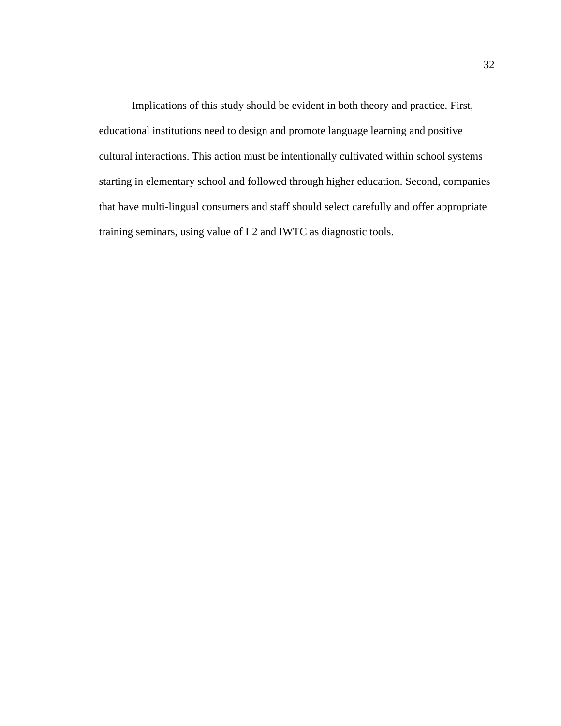Implications of this study should be evident in both theory and practice. First, educational institutions need to design and promote language learning and positive cultural interactions. This action must be intentionally cultivated within school systems starting in elementary school and followed through higher education. Second, companies that have multi-lingual consumers and staff should select carefully and offer appropriate training seminars, using value of L2 and IWTC as diagnostic tools.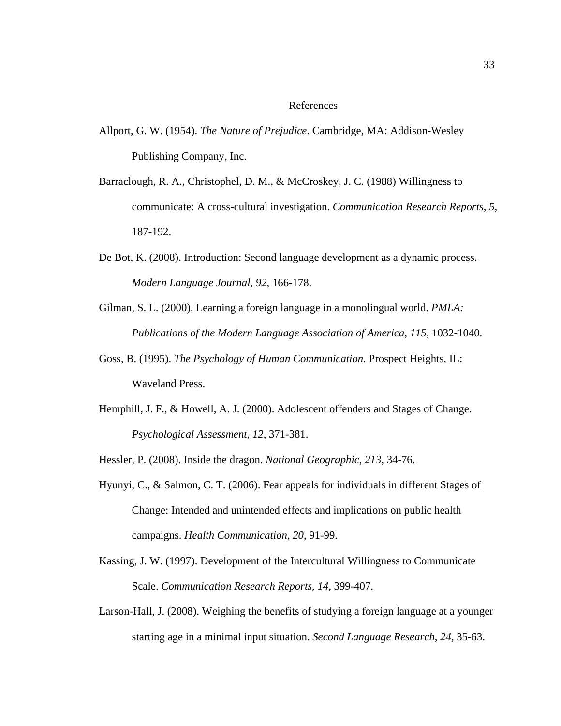#### References

- Allport, G. W. (1954). *The Nature of Prejudice*. Cambridge, MA: Addison-Wesley Publishing Company, Inc.
- Barraclough, R. A., Christophel, D. M., & McCroskey, J. C. (1988) Willingness to communicate: A cross-cultural investigation. *Communication Research Reports, 5,* 187-192.
- De Bot, K. (2008). Introduction: Second language development as a dynamic process. *Modern Language Journal, 92,* 166-178.
- Gilman, S. L. (2000). Learning a foreign language in a monolingual world. *PMLA: Publications of the Modern Language Association of America, 115,* 1032-1040.
- Goss, B. (1995). *The Psychology of Human Communication.* Prospect Heights, IL: Waveland Press.
- Hemphill, J. F., & Howell, A. J. (2000). Adolescent offenders and Stages of Change. *Psychological Assessment, 12,* 371-381.

Hessler, P. (2008). Inside the dragon. *National Geographic, 213,* 34-76.

- Hyunyi, C., & Salmon, C. T. (2006). Fear appeals for individuals in different Stages of Change: Intended and unintended effects and implications on public health campaigns. *Health Communication, 20,* 91-99.
- Kassing, J. W. (1997). Development of the Intercultural Willingness to Communicate Scale. *Communication Research Reports, 14*, 399-407.
- Larson-Hall, J. (2008). Weighing the benefits of studying a foreign language at a younger starting age in a minimal input situation. *Second Language Research, 24,* 35-63.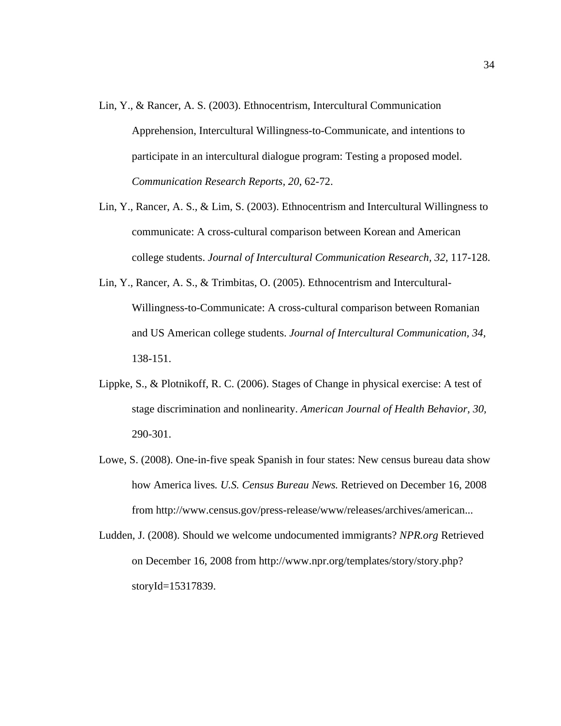- Lin, Y., & Rancer, A. S. (2003). Ethnocentrism, Intercultural Communication Apprehension, Intercultural Willingness-to-Communicate, and intentions to participate in an intercultural dialogue program: Testing a proposed model. *Communication Research Reports, 20,* 62-72.
- Lin, Y., Rancer, A. S., & Lim, S. (2003). Ethnocentrism and Intercultural Willingness to communicate: A cross-cultural comparison between Korean and American college students. *Journal of Intercultural Communication Research, 32,* 117-128.
- Lin, Y., Rancer, A. S., & Trimbitas, O. (2005). Ethnocentrism and Intercultural-Willingness-to-Communicate: A cross-cultural comparison between Romanian and US American college students. *Journal of Intercultural Communication, 34,*  138-151.
- Lippke, S., & Plotnikoff, R. C. (2006). Stages of Change in physical exercise: A test of stage discrimination and nonlinearity. *American Journal of Health Behavior, 30,*  290-301.
- Lowe, S. (2008). One-in-five speak Spanish in four states: New census bureau data show how America lives*. U.S. Census Bureau News.* Retrieved on December 16, 2008 from http://www.census.gov/press-release/www/releases/archives/american...
- Ludden, J. (2008). Should we welcome undocumented immigrants? *NPR.org* Retrieved on December 16, 2008 from http://www.npr.org/templates/story/story.php? storyId=15317839.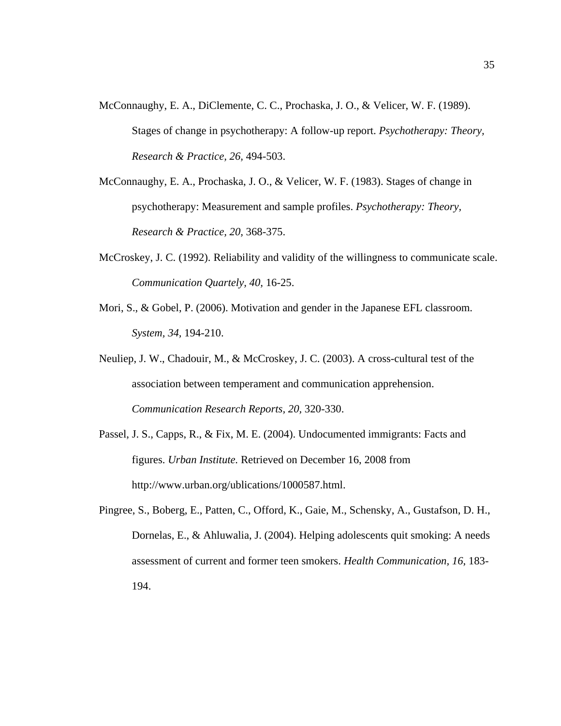- McConnaughy, E. A., DiClemente, C. C., Prochaska, J. O., & Velicer, W. F. (1989). Stages of change in psychotherapy: A follow-up report. *Psychotherapy: Theory, Research & Practice, 26,* 494-503.
- McConnaughy, E. A., Prochaska, J. O., & Velicer, W. F. (1983). Stages of change in psychotherapy: Measurement and sample profiles. *Psychotherapy: Theory, Research & Practice, 20,* 368-375.
- McCroskey, J. C. (1992). Reliability and validity of the willingness to communicate scale. *Communication Quartely, 40,* 16-25.
- Mori, S., & Gobel, P. (2006). Motivation and gender in the Japanese EFL classroom. *System, 34,* 194-210.
- Neuliep, J. W., Chadouir, M., & McCroskey, J. C. (2003). A cross-cultural test of the association between temperament and communication apprehension. *Communication Research Reports, 20,* 320-330.
- Passel, J. S., Capps, R., & Fix, M. E. (2004). Undocumented immigrants: Facts and figures. *Urban Institute.* Retrieved on December 16, 2008 from http://www.urban.org/ublications/1000587.html.
- Pingree, S., Boberg, E., Patten, C., Offord, K., Gaie, M., Schensky, A., Gustafson, D. H., Dornelas, E., & Ahluwalia, J. (2004). Helping adolescents quit smoking: A needs assessment of current and former teen smokers. *Health Communication, 16*, 183- 194.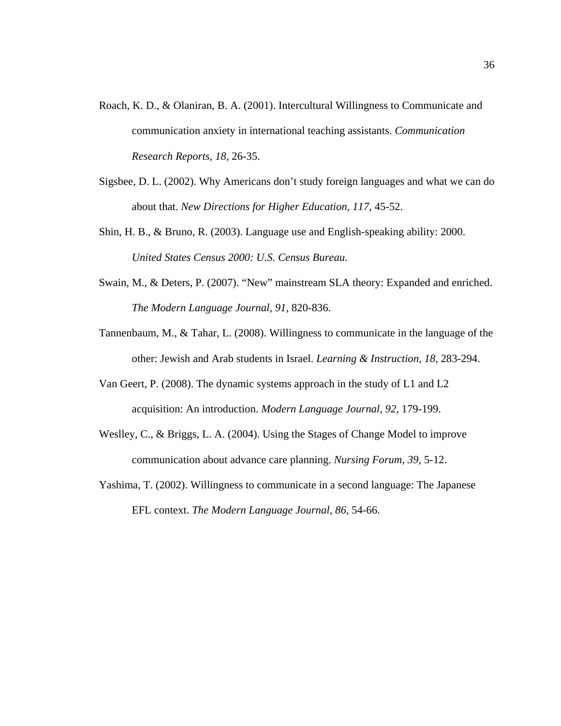- Roach, K. D., & Olaniran, B. A. (2001). Intercultural Willingness to Communicate and communication anxiety in international teaching assistants. *Communication Research Reports, 18*, 26-35.
- Sigsbee, D. L. (2002). Why Americans don't study foreign languages and what we can do about that. *New Directions for Higher Education, 117,* 45-52.
- Shin, H. B., & Bruno, R. (2003). Language use and English-speaking ability: 2000. *United States Census 2000: U.S. Census Bureau.*
- Swain, M., & Deters, P. (2007). "New" mainstream SLA theory: Expanded and enriched. *The Modern Language Journal, 91,* 820-836.
- Tannenbaum, M., & Tahar, L. (2008). Willingness to communicate in the language of the other: Jewish and Arab students in Israel. *Learning & Instruction, 18,* 283-294.
- Van Geert, P. (2008). The dynamic systems approach in the study of L1 and L2 acquisition: An introduction. *Modern Language Journal, 92,* 179-199.
- Weslley, C., & Briggs, L. A. (2004). Using the Stages of Change Model to improve communication about advance care planning. *Nursing Forum, 39,* 5-12.
- Yashima, T. (2002). Willingness to communicate in a second language: The Japanese EFL context. *The Modern Language Journal, 86,* 54-66.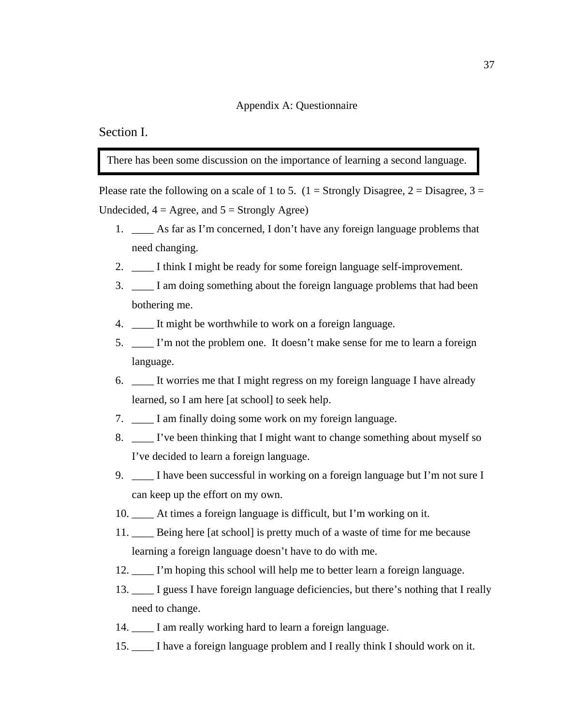### Appendix A: Questionnaire

### Section I.

There has been some discussion on the importance of learning a second language.

Please rate the following on a scale of 1 to 5.  $(1 =$  Strongly Disagree,  $2 =$  Disagree,  $3 =$ Undecided,  $4 = \text{Agree}$ , and  $5 = \text{Strongly Age}$ )

- 1. \_\_\_\_ As far as I'm concerned, I don't have any foreign language problems that need changing.
- 2. I think I might be ready for some foreign language self-improvement.
- 3. \_\_\_\_ I am doing something about the foreign language problems that had been bothering me.
- 4. It might be worthwhile to work on a foreign language.
- 5. \_\_\_\_ I'm not the problem one. It doesn't make sense for me to learn a foreign language.
- 6. \_\_\_\_ It worries me that I might regress on my foreign language I have already learned, so I am here [at school] to seek help.
- 7. I am finally doing some work on my foreign language.
- 8. \_\_\_\_ I've been thinking that I might want to change something about myself so I've decided to learn a foreign language.
- 9. I have been successful in working on a foreign language but I'm not sure I can keep up the effort on my own.
- 10. \_\_\_\_ At times a foreign language is difficult, but I'm working on it.
- 11. \_\_\_\_ Being here [at school] is pretty much of a waste of time for me because learning a foreign language doesn't have to do with me.
- 12. I'm hoping this school will help me to better learn a foreign language.
- 13. \_\_\_\_ I guess I have foreign language deficiencies, but there's nothing that I really need to change.
- 14. \_\_\_\_ I am really working hard to learn a foreign language.
- 15. \_\_\_\_ I have a foreign language problem and I really think I should work on it.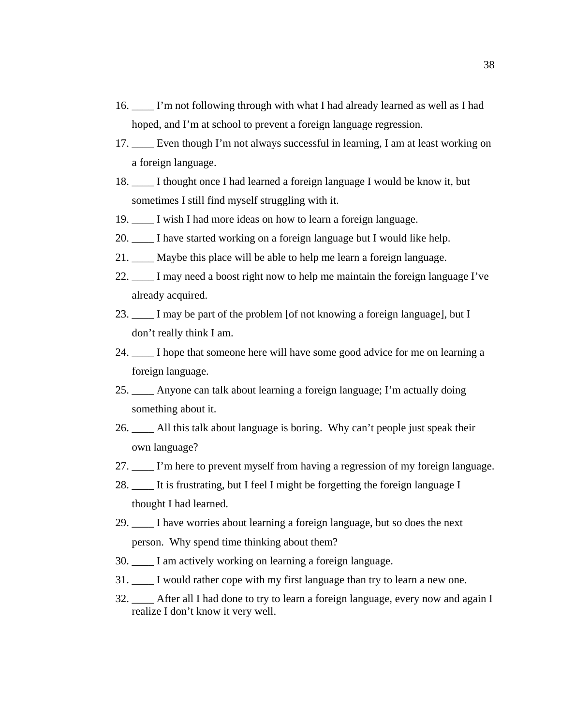- 16. \_\_\_\_ I'm not following through with what I had already learned as well as I had hoped, and I'm at school to prevent a foreign language regression.
- 17. Even though I'm not always successful in learning, I am at least working on a foreign language.
- 18. \_\_\_\_ I thought once I had learned a foreign language I would be know it, but sometimes I still find myself struggling with it.
- 19. \_\_\_\_ I wish I had more ideas on how to learn a foreign language.
- 20. I have started working on a foreign language but I would like help.
- 21. \_\_\_\_ Maybe this place will be able to help me learn a foreign language.
- 22. \_\_\_\_ I may need a boost right now to help me maintain the foreign language I've already acquired.
- 23. I may be part of the problem [of not knowing a foreign language], but I don't really think I am.
- 24. \_\_\_\_ I hope that someone here will have some good advice for me on learning a foreign language.
- 25. \_\_\_\_ Anyone can talk about learning a foreign language; I'm actually doing something about it.
- 26. \_\_\_\_ All this talk about language is boring. Why can't people just speak their own language?
- 27. \_\_\_\_ I'm here to prevent myself from having a regression of my foreign language.
- 28. \_\_\_\_ It is frustrating, but I feel I might be forgetting the foreign language I thought I had learned.
- 29. \_\_\_\_ I have worries about learning a foreign language, but so does the next person. Why spend time thinking about them?
- 30. \_\_\_\_ I am actively working on learning a foreign language.
- 31. \_\_\_\_ I would rather cope with my first language than try to learn a new one.
- 32. \_\_\_\_ After all I had done to try to learn a foreign language, every now and again I realize I don't know it very well.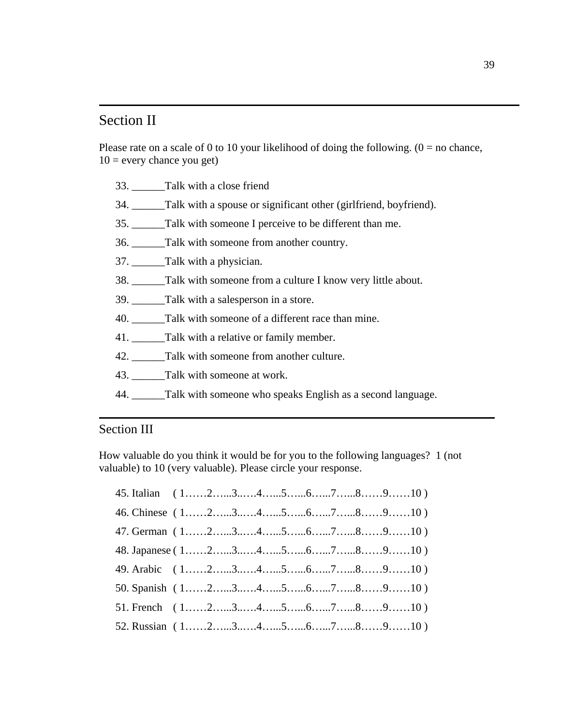### Section II

Please rate on a scale of 0 to 10 your likelihood of doing the following.  $(0 = no$  chance,  $10 =$  every chance you get)

- 33. \_\_\_\_\_\_Talk with a close friend
- 34. \_\_\_\_\_\_Talk with a spouse or significant other (girlfriend, boyfriend).

35. \_\_\_\_\_\_Talk with someone I perceive to be different than me.

36. Talk with someone from another country.

- 37. \_\_\_\_\_\_Talk with a physician.
- 38. \_\_\_\_\_\_Talk with someone from a culture I know very little about.
- 39. Talk with a salesperson in a store.
- 40. Talk with someone of a different race than mine.
- 41. \_\_\_\_\_\_Talk with a relative or family member.
- 42. Talk with someone from another culture.
- 43. Talk with someone at work.
- 44. \_\_\_\_\_\_Talk with someone who speaks English as a second language.

### Section III

How valuable do you think it would be for you to the following languages? 1 (not valuable) to 10 (very valuable). Please circle your response.

| 45. Italian (12345678910)                                                                                             |  |  |  |  |  |
|-----------------------------------------------------------------------------------------------------------------------|--|--|--|--|--|
| 46. Chinese (12345678910)                                                                                             |  |  |  |  |  |
| 47. German $(1, \ldots, 2, \ldots, 3, \ldots, 4, \ldots, 5, \ldots, 6, \ldots, 7, \ldots, 8, \ldots, 9, \ldots, 10)$  |  |  |  |  |  |
| 48. Japanese (12345678910)                                                                                            |  |  |  |  |  |
| 49. Arabic (12345678910)                                                                                              |  |  |  |  |  |
| 50. Spanish $(1, \ldots, 2, \ldots, 3, \ldots, 4, \ldots, 5, \ldots, 6, \ldots, 7, \ldots, 8, \ldots, 9, \ldots, 10)$ |  |  |  |  |  |
| 51. French $(1, \ldots, 2, \ldots, 3, \ldots, 4, \ldots, 5, \ldots, 6, \ldots, 7, \ldots, 8, \ldots, 9, \ldots, 10)$  |  |  |  |  |  |
| 52. Russian $(1, \ldots, 2, \ldots, 3, \ldots, 4, \ldots, 5, \ldots, 6, \ldots, 7, \ldots, 8, \ldots, 9, \ldots, 10)$ |  |  |  |  |  |
|                                                                                                                       |  |  |  |  |  |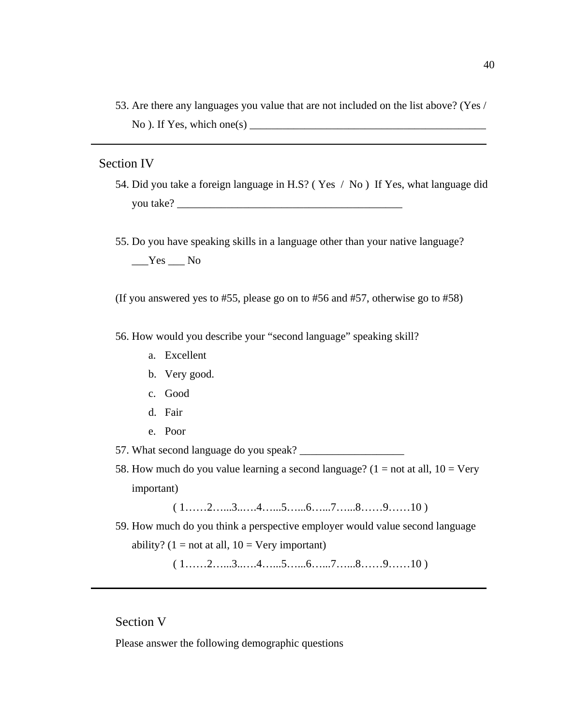53. Are there any languages you value that are not included on the list above? (Yes /  $No$ ). If Yes, which one $(s)$ 

### Section IV

- 54. Did you take a foreign language in H.S? ( Yes / No ) If Yes, what language did you take? \_\_\_\_\_\_\_\_\_\_\_\_\_\_\_\_\_\_\_\_\_\_\_\_\_\_\_\_\_\_\_\_\_\_\_\_\_\_\_\_\_
- 55. Do you have speaking skills in a language other than your native language?

 $Yes$  No

(If you answered yes to #55, please go on to #56 and #57, otherwise go to #58)

56. How would you describe your "second language" speaking skill?

- a. Excellent
- b. Very good.
- c. Good
- d. Fair
- e. Poor

57. What second language do you speak? \_\_\_\_\_\_\_\_\_\_\_\_\_\_\_\_\_\_\_

58. How much do you value learning a second language?  $(1 = not at all, 10 = Very)$ important)

 $(1, \ldots, 2, \ldots, 3, \ldots, 4, \ldots, 5, \ldots, 6, \ldots, 7, \ldots, 8, \ldots, 9, \ldots, 10)$ 

59. How much do you think a perspective employer would value second language ability?  $(1 = not at all, 10 = Very important)$ 

 $(1, \ldots, 2, \ldots, 3, \ldots, 4, \ldots, 5, \ldots, 6, \ldots, 7, \ldots, 8, \ldots, 9, \ldots, 10)$ 

### Section V

Please answer the following demographic questions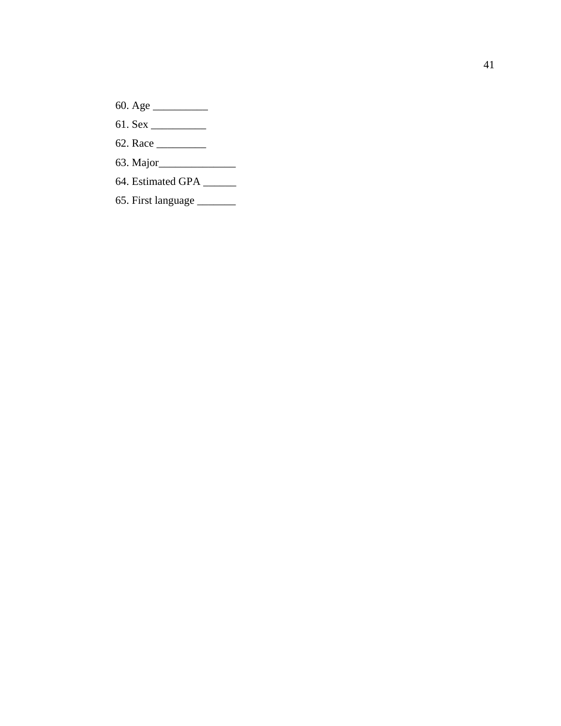- 60. Age \_\_\_\_\_\_\_\_\_\_
- 61. Sex \_\_\_\_\_\_\_\_\_\_
- 62. Race \_\_\_\_\_\_\_\_\_
- 63. Major\_\_\_\_\_\_\_\_\_\_\_\_\_\_
- 64. Estimated GPA \_\_\_\_\_\_
- 65. First language \_\_\_\_\_\_\_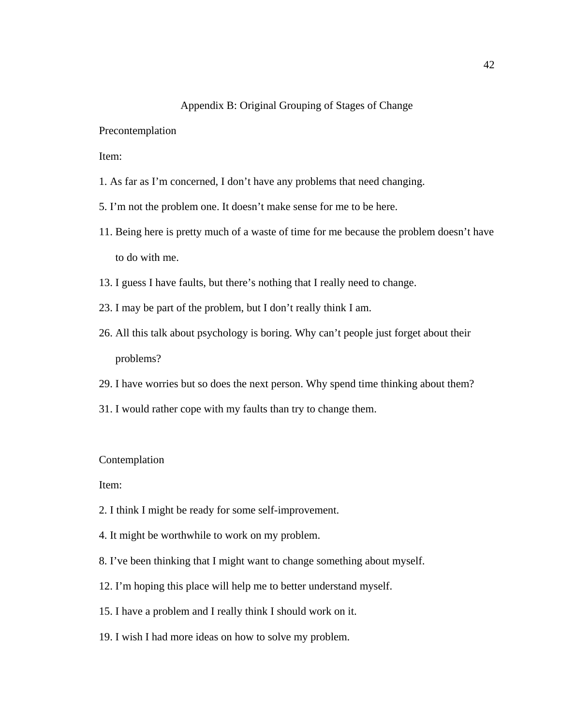### Appendix B: Original Grouping of Stages of Change

Precontemplation

Item:

- 1. As far as I'm concerned, I don't have any problems that need changing.
- 5. I'm not the problem one. It doesn't make sense for me to be here.
- 11. Being here is pretty much of a waste of time for me because the problem doesn't have to do with me.
- 13. I guess I have faults, but there's nothing that I really need to change.
- 23. I may be part of the problem, but I don't really think I am.
- 26. All this talk about psychology is boring. Why can't people just forget about their problems?
- 29. I have worries but so does the next person. Why spend time thinking about them?
- 31. I would rather cope with my faults than try to change them.

#### Contemplation

Item:

- 2. I think I might be ready for some self-improvement.
- 4. It might be worthwhile to work on my problem.
- 8. I've been thinking that I might want to change something about myself.
- 12. I'm hoping this place will help me to better understand myself.
- 15. I have a problem and I really think I should work on it.
- 19. I wish I had more ideas on how to solve my problem.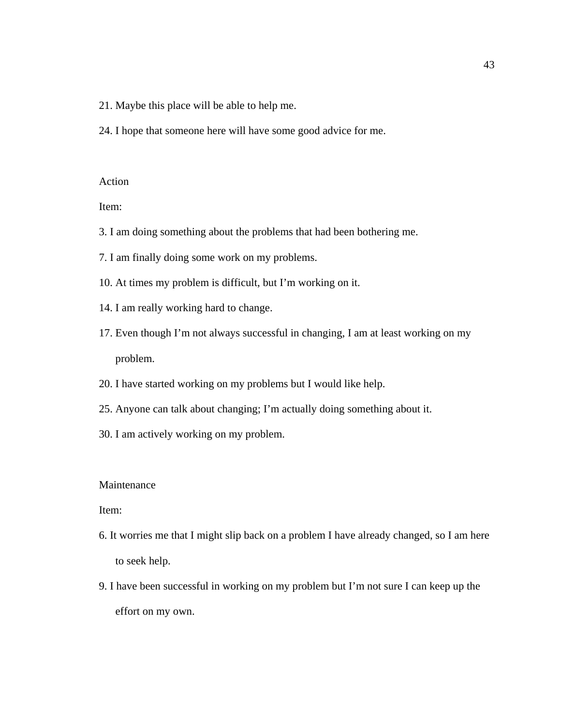- 21. Maybe this place will be able to help me.
- 24. I hope that someone here will have some good advice for me.

### Action

Item:

- 3. I am doing something about the problems that had been bothering me.
- 7. I am finally doing some work on my problems.
- 10. At times my problem is difficult, but I'm working on it.
- 14. I am really working hard to change.
- 17. Even though I'm not always successful in changing, I am at least working on my problem.
- 20. I have started working on my problems but I would like help.
- 25. Anyone can talk about changing; I'm actually doing something about it.
- 30. I am actively working on my problem.

### Maintenance

### Item:

- 6. It worries me that I might slip back on a problem I have already changed, so I am here to seek help.
- 9. I have been successful in working on my problem but I'm not sure I can keep up the effort on my own.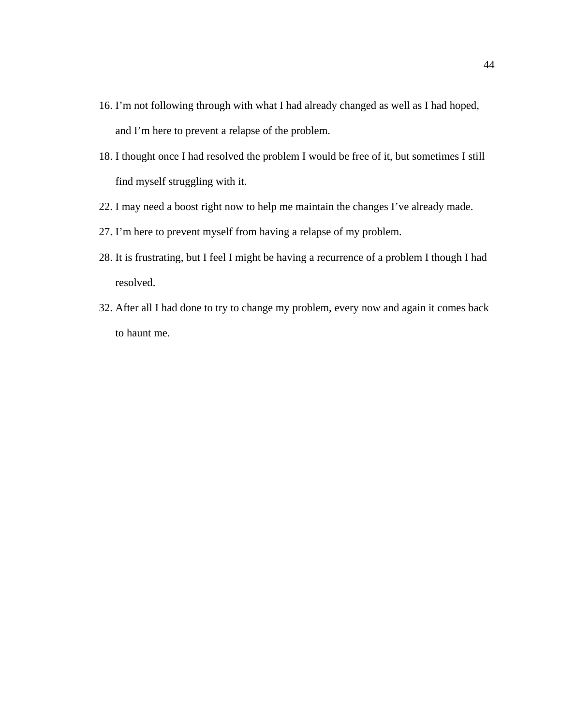- 16. I'm not following through with what I had already changed as well as I had hoped, and I'm here to prevent a relapse of the problem.
- 18. I thought once I had resolved the problem I would be free of it, but sometimes I still find myself struggling with it.
- 22. I may need a boost right now to help me maintain the changes I've already made.
- 27. I'm here to prevent myself from having a relapse of my problem.
- 28. It is frustrating, but I feel I might be having a recurrence of a problem I though I had resolved.
- 32. After all I had done to try to change my problem, every now and again it comes back to haunt me.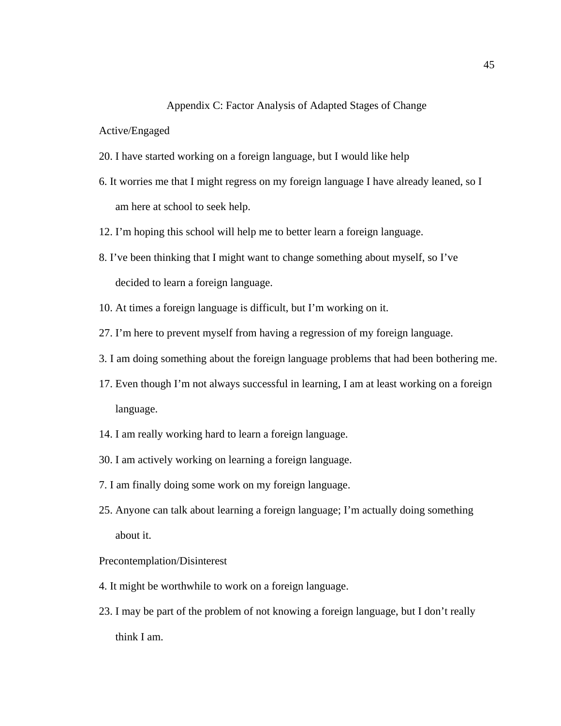### Appendix C: Factor Analysis of Adapted Stages of Change

### Active/Engaged

- 20. I have started working on a foreign language, but I would like help
- 6. It worries me that I might regress on my foreign language I have already leaned, so I am here at school to seek help.
- 12. I'm hoping this school will help me to better learn a foreign language.
- 8. I've been thinking that I might want to change something about myself, so I've decided to learn a foreign language.
- 10. At times a foreign language is difficult, but I'm working on it.
- 27. I'm here to prevent myself from having a regression of my foreign language.
- 3. I am doing something about the foreign language problems that had been bothering me.
- 17. Even though I'm not always successful in learning, I am at least working on a foreign language.
- 14. I am really working hard to learn a foreign language.
- 30. I am actively working on learning a foreign language.
- 7. I am finally doing some work on my foreign language.
- 25. Anyone can talk about learning a foreign language; I'm actually doing something about it.
- Precontemplation/Disinterest
- 4. It might be worthwhile to work on a foreign language.
- 23. I may be part of the problem of not knowing a foreign language, but I don't really think I am.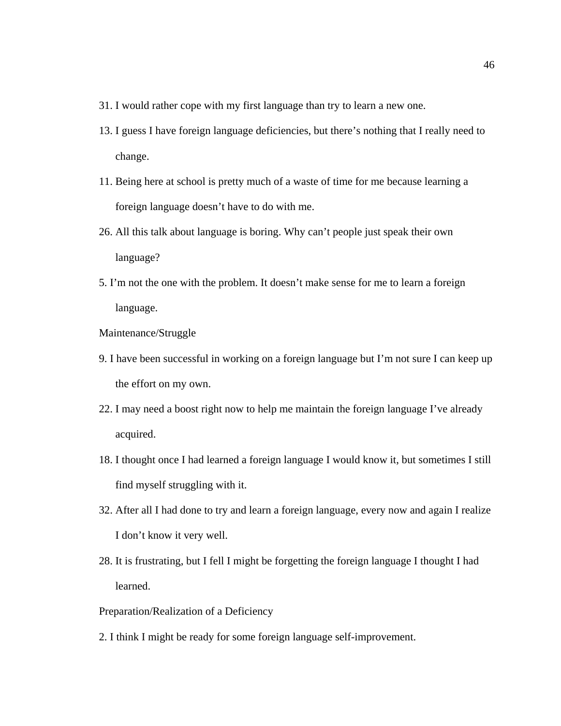- 31. I would rather cope with my first language than try to learn a new one.
- 13. I guess I have foreign language deficiencies, but there's nothing that I really need to change.
- 11. Being here at school is pretty much of a waste of time for me because learning a foreign language doesn't have to do with me.
- 26. All this talk about language is boring. Why can't people just speak their own language?
- 5. I'm not the one with the problem. It doesn't make sense for me to learn a foreign language.
- Maintenance/Struggle
- 9. I have been successful in working on a foreign language but I'm not sure I can keep up the effort on my own.
- 22. I may need a boost right now to help me maintain the foreign language I've already acquired.
- 18. I thought once I had learned a foreign language I would know it, but sometimes I still find myself struggling with it.
- 32. After all I had done to try and learn a foreign language, every now and again I realize I don't know it very well.
- 28. It is frustrating, but I fell I might be forgetting the foreign language I thought I had learned.

### Preparation/Realization of a Deficiency

2. I think I might be ready for some foreign language self-improvement.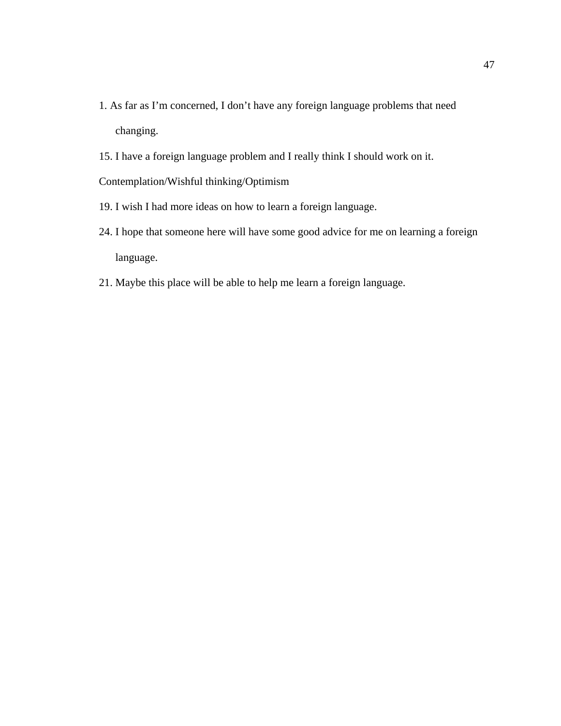- 1. As far as I'm concerned, I don't have any foreign language problems that need changing.
- 15. I have a foreign language problem and I really think I should work on it.

Contemplation/Wishful thinking/Optimism

- 19. I wish I had more ideas on how to learn a foreign language.
- 24. I hope that someone here will have some good advice for me on learning a foreign language.
- 21. Maybe this place will be able to help me learn a foreign language.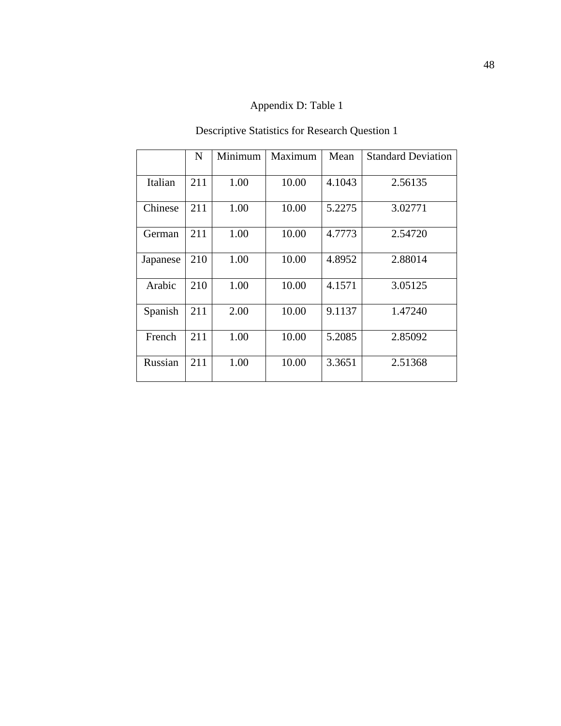### Appendix D: Table 1

### Descriptive Statistics for Research Question 1

|          | N   | Minimum | Maximum | Mean   | <b>Standard Deviation</b> |
|----------|-----|---------|---------|--------|---------------------------|
| Italian  | 211 | 1.00    | 10.00   | 4.1043 | 2.56135                   |
| Chinese  | 211 | 1.00    | 10.00   | 5.2275 | 3.02771                   |
| German   | 211 | 1.00    | 10.00   | 4.7773 | 2.54720                   |
| Japanese | 210 | 1.00    | 10.00   | 4.8952 | 2.88014                   |
| Arabic   | 210 | 1.00    | 10.00   | 4.1571 | 3.05125                   |
| Spanish  | 211 | 2.00    | 10.00   | 9.1137 | 1.47240                   |
| French   | 211 | 1.00    | 10.00   | 5.2085 | 2.85092                   |
| Russian  | 211 | 1.00    | 10.00   | 3.3651 | 2.51368                   |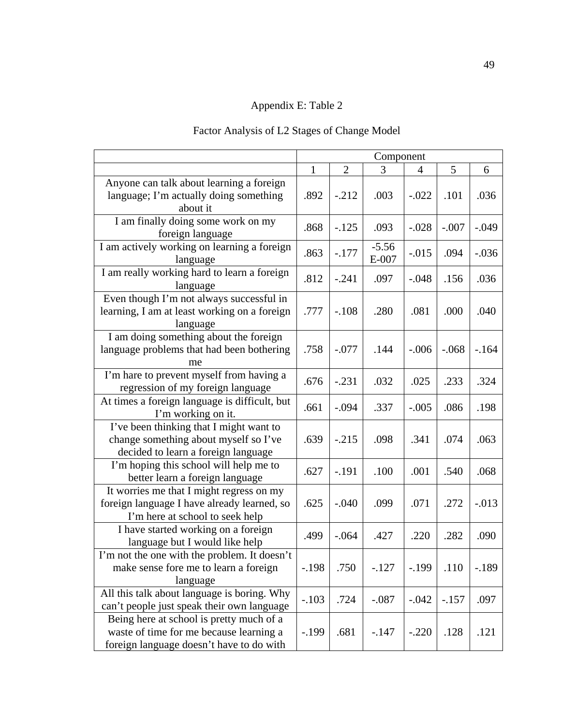### Appendix E: Table 2

### Factor Analysis of L2 Stages of Change Model

|                                                                                                                                 | Component                          |         |                    |          |         |         |
|---------------------------------------------------------------------------------------------------------------------------------|------------------------------------|---------|--------------------|----------|---------|---------|
|                                                                                                                                 | $\overline{2}$<br>5<br>1<br>3<br>4 |         |                    |          |         | 6       |
| Anyone can talk about learning a foreign<br>language; I'm actually doing something<br>about it                                  | .892                               | $-.212$ | .003               | $-.022$  | .101    | .036    |
| I am finally doing some work on my<br>foreign language                                                                          | .868                               | $-.125$ | .093               | $-.028$  | $-.007$ | $-.049$ |
| I am actively working on learning a foreign<br>language                                                                         | .863                               | $-.177$ | $-5.56$<br>$E-007$ | $-0.015$ | .094    | $-.036$ |
| I am really working hard to learn a foreign<br>language                                                                         | .812                               | $-.241$ | .097               | $-.048$  | .156    | .036    |
| Even though I'm not always successful in<br>learning, I am at least working on a foreign<br>language                            | .777                               | $-.108$ | .280               | .081     | .000    | .040    |
| I am doing something about the foreign<br>language problems that had been bothering<br>me                                       | .758                               | $-.077$ | .144               | $-.006$  | $-.068$ | $-164$  |
| I'm hare to prevent myself from having a<br>regression of my foreign language                                                   | .676                               | $-.231$ | .032               | .025     | .233    | .324    |
| At times a foreign language is difficult, but<br>I'm working on it.                                                             | .661                               | $-.094$ | .337               | $-.005$  | .086    | .198    |
| I've been thinking that I might want to<br>change something about myself so I've<br>decided to learn a foreign language         | .639                               | $-.215$ | .098               | .341     | .074    | .063    |
| I'm hoping this school will help me to<br>better learn a foreign language                                                       | .627                               | $-.191$ | .100               | .001     | .540    | .068    |
| It worries me that I might regress on my<br>foreign language I have already learned, so<br>I'm here at school to seek help      | .625                               | $-.040$ | .099               | .071     | .272    | $-.013$ |
| I have started working on a foreign<br>language but I would like help                                                           | .499                               | $-.064$ | .427               | .220     | .282    | .090    |
| I'm not the one with the problem. It doesn't<br>make sense fore me to learn a foreign<br>language                               | $-.198$                            | .750    | $-127$             | $-199$   | .110    | $-189$  |
| All this talk about language is boring. Why<br>can't people just speak their own language                                       | $-.103$                            | .724    | $-.087$            | $-.042$  | $-.157$ | .097    |
| Being here at school is pretty much of a<br>waste of time for me because learning a<br>foreign language doesn't have to do with | $-199$                             | .681    | $-.147$            | $-.220$  | .128    | .121    |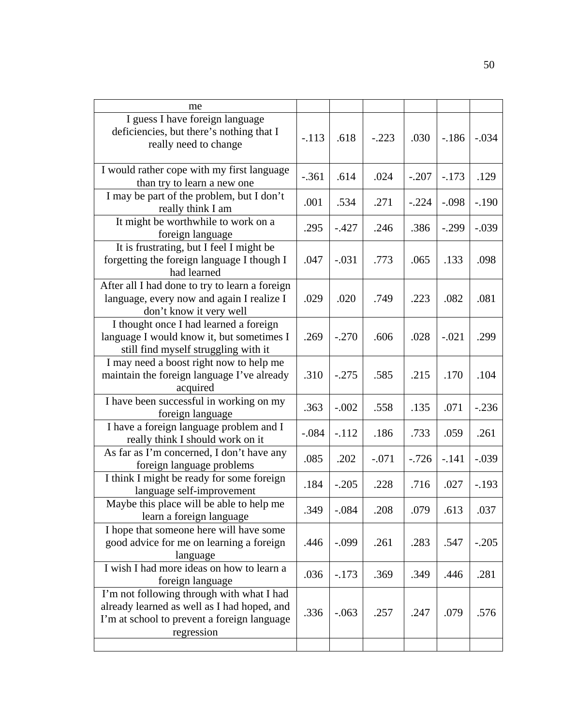| me                                                                                                                                                    |         |         |         |         |         |         |
|-------------------------------------------------------------------------------------------------------------------------------------------------------|---------|---------|---------|---------|---------|---------|
| I guess I have foreign language<br>deficiencies, but there's nothing that I<br>really need to change                                                  | $-.113$ | .618    | $-.223$ | .030    | $-186$  | $-.034$ |
| I would rather cope with my first language<br>than try to learn a new one                                                                             | $-.361$ | .614    | .024    | $-.207$ | $-.173$ | .129    |
| I may be part of the problem, but I don't<br>really think I am                                                                                        | .001    | .534    | .271    | $-.224$ | $-.098$ | $-.190$ |
| It might be worthwhile to work on a<br>foreign language                                                                                               | .295    | $-.427$ | .246    | .386    | $-.299$ | $-.039$ |
| It is frustrating, but I feel I might be<br>forgetting the foreign language I though I<br>had learned                                                 | .047    | $-.031$ | .773    | .065    | .133    | .098    |
| After all I had done to try to learn a foreign<br>language, every now and again I realize I<br>don't know it very well                                | .029    | .020    | .749    | .223    | .082    | .081    |
| I thought once I had learned a foreign<br>language I would know it, but sometimes I<br>still find myself struggling with it                           | .269    | $-.270$ | .606    | .028    | $-.021$ | .299    |
| I may need a boost right now to help me<br>maintain the foreign language I've already<br>acquired                                                     | .310    | $-.275$ | .585    | .215    | .170    | .104    |
| I have been successful in working on my<br>foreign language                                                                                           | .363    | $-.002$ | .558    | .135    | .071    | $-.236$ |
| I have a foreign language problem and I<br>really think I should work on it                                                                           | $-.084$ | $-.112$ | .186    | .733    | .059    | .261    |
| As far as I'm concerned, I don't have any<br>foreign language problems                                                                                | .085    | .202    | $-.071$ | $-.726$ | $-.141$ | $-.039$ |
| I think I might be ready for some foreign<br>language self-improvement                                                                                | .184    | $-.205$ | .228    | .716    | .027    | $-.193$ |
| Maybe this place will be able to help me<br>learn a foreign language                                                                                  | .349    | $-.084$ | .208    | .079    | .613    | .037    |
| I hope that someone here will have some<br>good advice for me on learning a foreign<br>language                                                       | .446    | $-.099$ | .261    | .283    | .547    | $-.205$ |
| I wish I had more ideas on how to learn a<br>foreign language                                                                                         | .036    | $-.173$ | .369    | .349    | .446    | .281    |
| I'm not following through with what I had<br>already learned as well as I had hoped, and<br>I'm at school to prevent a foreign language<br>regression | .336    | $-.063$ | .257    | .247    | .079    | .576    |
|                                                                                                                                                       |         |         |         |         |         |         |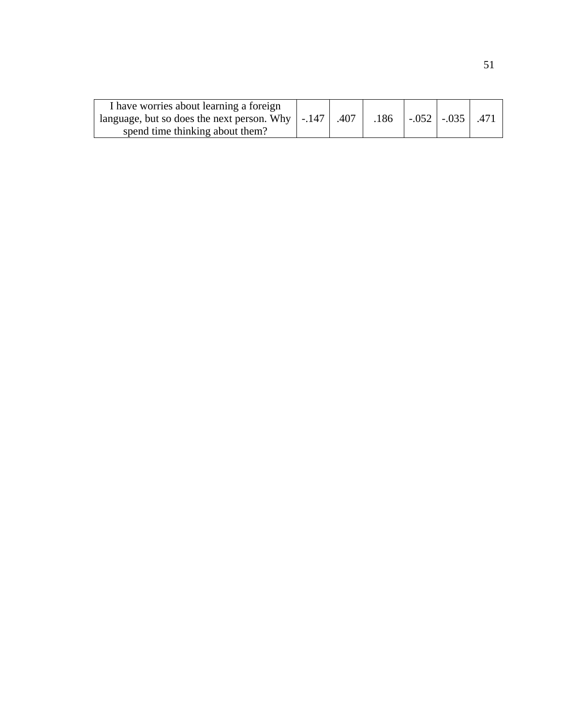| I have worries about learning a foreign                               |  |      |                        |  |
|-----------------------------------------------------------------------|--|------|------------------------|--|
| language, but so does the next person. Why $\vert$ -.147 $\vert$ .407 |  | .186 | $-.052$ $-.035$ $.471$ |  |
| spend time thinking about them?                                       |  |      |                        |  |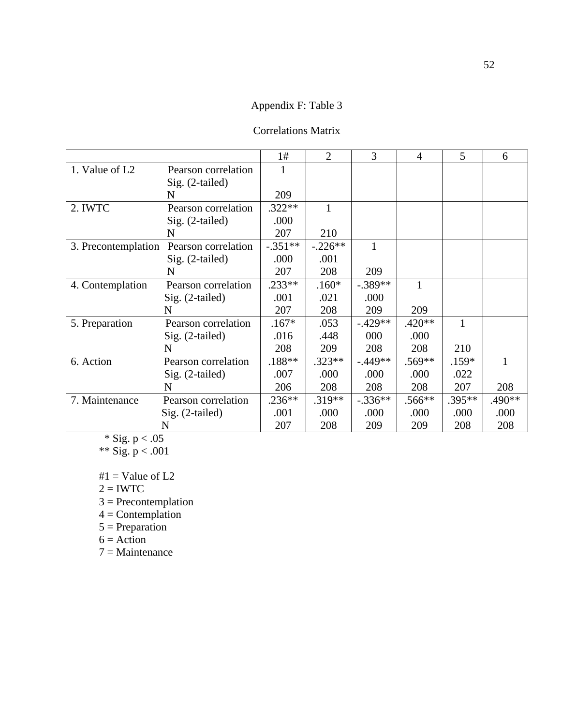### Appendix F: Table 3

### Correlations Matrix

|                            |                     | 1#        | 2         | 3         | $\overline{4}$ | 5        | 6      |
|----------------------------|---------------------|-----------|-----------|-----------|----------------|----------|--------|
| 1. Value of L <sub>2</sub> | Pearson correlation |           |           |           |                |          |        |
|                            | $Sig. (2-tailed)$   |           |           |           |                |          |        |
|                            | N                   | 209       |           |           |                |          |        |
| 2. IWTC                    | Pearson correlation | $.322**$  |           |           |                |          |        |
|                            | $Sig. (2-tailed)$   | .000      |           |           |                |          |        |
|                            | N                   | 207       | 210       |           |                |          |        |
| 3. Precontemplation        | Pearson correlation | $-.351**$ | $-.226**$ |           |                |          |        |
|                            | $Sig. (2-tailed)$   | .000      | .001      |           |                |          |        |
|                            | N                   | 207       | 208       | 209       |                |          |        |
| 4. Contemplation           | Pearson correlation | $.233**$  | $.160*$   | $-.389**$ |                |          |        |
|                            | $Sig. (2-tailed)$   | .001      | .021      | .000      |                |          |        |
|                            | N                   | 207       | 208       | 209       | 209            |          |        |
| 5. Preparation             | Pearson correlation | $.167*$   | .053      | $-.429**$ | $.420**$       | 1        |        |
|                            | $Sig. (2-tailed)$   | .016      | .448      | 000       | .000           |          |        |
|                            | N                   | 208       | 209       | 208       | 208            | 210      |        |
| 6. Action                  | Pearson correlation | $.188**$  | $.323**$  | $-.449**$ | $.569**$       | $.159*$  |        |
|                            | $Sig. (2-tailed)$   | .007      | .000      | .000      | .000           | .022     |        |
|                            | N                   | 206       | 208       | 208       | 208            | 207      | 208    |
| 7. Maintenance             | Pearson correlation | $.236**$  | $.319**$  | $-.336**$ | $.566**$       | $.395**$ | .490** |
|                            | $Sig. (2-tailed)$   | .001      | .000      | .000      | .000           | .000     | .000   |
|                            | N                   | 207       | 208       | 209       | 209            | 208      | 208    |

\* Sig. p  $< .05$ 

\*\* Sig.  $p < .001$ 

 $#1 =$  Value of L2

 $2 = IWTC$ 

 $3$  = Precontemplation

 $4 =$  Contemplation

 $5 =$ Preparation

 $6 =$  Action

7 = Maintenance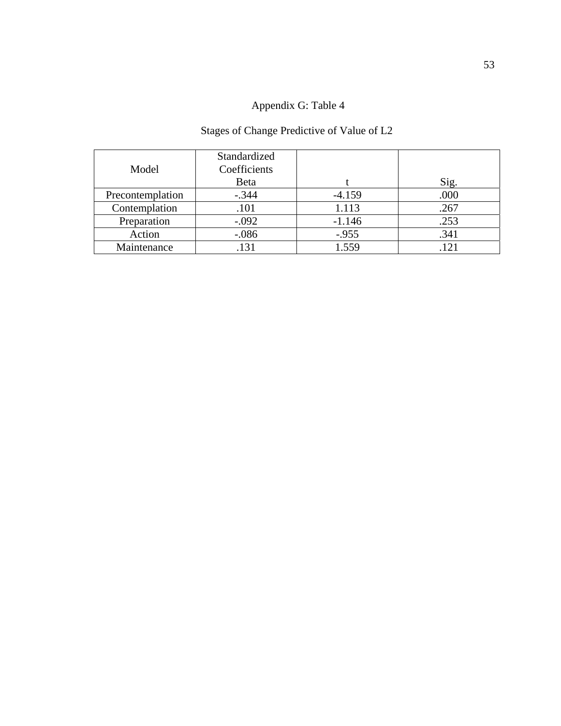### Appendix G: Table 4

# Stages of Change Predictive of Value of L2

| Model            | Standardized<br>Coefficients<br>Beta |          | Sig. |
|------------------|--------------------------------------|----------|------|
| Precontemplation | $-.344$                              | $-4.159$ | .000 |
| Contemplation    | .101                                 | 1.113    | .267 |
| Preparation      | $-.092$                              | $-1.146$ | .253 |
| Action           | $-.086$                              | $-.955$  | .341 |
| Maintenance      | .131                                 | 1.559    | 121  |